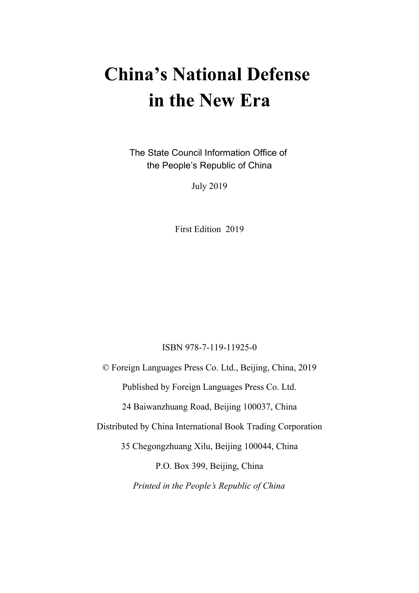# **China's National Defense in the New Era**

The State Council Information Office of the People's Republic of China

July 2019

First Edition 2019

#### ISBN 978-7-119-11925-0

© Foreign Languages Press Co. Ltd., Beijing, China, 2019 Published by Foreign Languages Press Co. Ltd. 24 Baiwanzhuang Road, Beijing 100037, China Distributed by China International Book Trading Corporation 35 Chegongzhuang Xilu, Beijing 100044, China P.O. Box 399, Beijing, China *Printed in the People's Republic of China*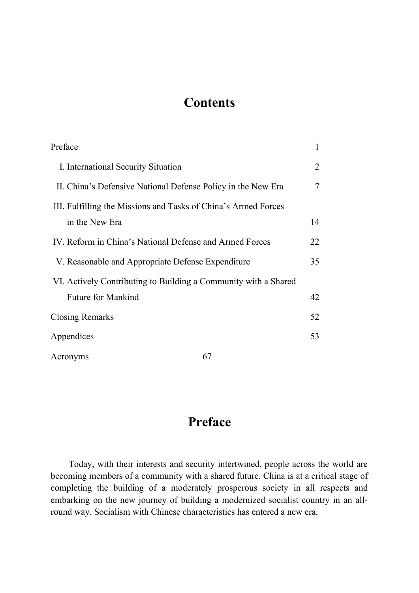## **Contents**

| Preface                                                         | $\mathbf{1}$   |
|-----------------------------------------------------------------|----------------|
| I. International Security Situation                             | $\overline{2}$ |
| II. China's Defensive National Defense Policy in the New Era    | 7              |
| III. Fulfilling the Missions and Tasks of China's Armed Forces  |                |
| in the New Era                                                  | 14             |
| IV. Reform in China's National Defense and Armed Forces         | 22             |
| V. Reasonable and Appropriate Defense Expenditure               | 35             |
| VI. Actively Contributing to Building a Community with a Shared |                |
| <b>Future for Mankind</b>                                       | 42             |
| <b>Closing Remarks</b>                                          | 52             |
| Appendices                                                      | 53             |
| 67<br>Acronyms                                                  |                |

## **Preface**

Today, with their interests and security intertwined, people across the world are becoming members of a community with a shared future. China is at a critical stage of completing the building of a moderately prosperous society in all respects and embarking on the new journey of building a modernized socialist country in an allround way. Socialism with Chinese characteristics has entered a new era.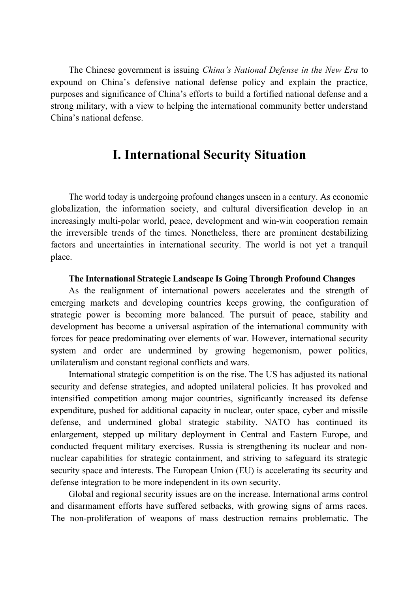The Chinese government is issuing *China's National Defense in the New Era* to expound on China's defensive national defense policy and explain the practice, purposes and significance of China's efforts to build a fortified national defense and a strong military, with a view to helping the international community better understand China's national defense.

## **I. International Security Situation**

The world today is undergoing profound changes unseen in a century. As economic globalization, the information society, and cultural diversification develop in an increasingly multi-polar world, peace, development and win-win cooperation remain the irreversible trends of the times. Nonetheless, there are prominent destabilizing factors and uncertainties in international security. The world is not yet a tranquil place.

#### **The International Strategic Landscape Is Going Through Profound Changes**

As the realignment of international powers accelerates and the strength of emerging markets and developing countries keeps growing, the configuration of strategic power is becoming more balanced. The pursuit of peace, stability and development has become a universal aspiration of the international community with forces for peace predominating over elements of war. However, international security system and order are undermined by growing hegemonism, power politics, unilateralism and constant regional conflicts and wars.

International strategic competition is on the rise. The US has adjusted its national security and defense strategies, and adopted unilateral policies. It has provoked and intensified competition among major countries, significantly increased its defense expenditure, pushed for additional capacity in nuclear, outer space, cyber and missile defense, and undermined global strategic stability. NATO has continued its enlargement, stepped up military deployment in Central and Eastern Europe, and conducted frequent military exercises. Russia is strengthening its nuclear and nonnuclear capabilities for strategic containment, and striving to safeguard its strategic security space and interests. The European Union (EU) is accelerating its security and defense integration to be more independent in its own security.

Global and regional security issues are on the increase. International arms control and disarmament efforts have suffered setbacks, with growing signs of arms races. The non-proliferation of weapons of mass destruction remains problematic. The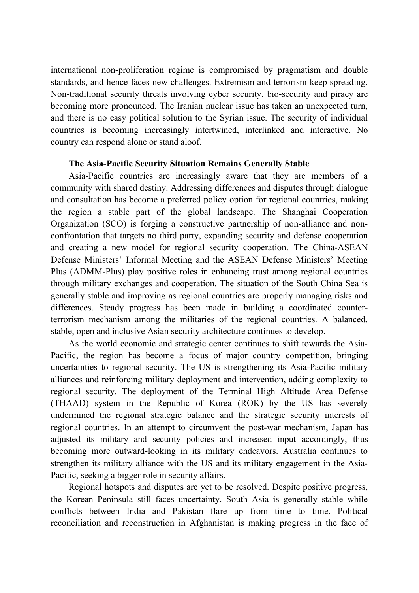international non-proliferation regime is compromised by pragmatism and double standards, and hence faces new challenges. Extremism and terrorism keep spreading. Non-traditional security threats involving cyber security, bio-security and piracy are becoming more pronounced. The Iranian nuclear issue has taken an unexpected turn, and there is no easy political solution to the Syrian issue. The security of individual countries is becoming increasingly intertwined, interlinked and interactive. No country can respond alone or stand aloof.

#### **The Asia-Pacific Security Situation Remains Generally Stable**

Asia-Pacific countries are increasingly aware that they are members of a community with shared destiny. Addressing differences and disputes through dialogue and consultation has become a preferred policy option for regional countries, making the region a stable part of the global landscape. The Shanghai Cooperation Organization (SCO) is forging a constructive partnership of non-alliance and nonconfrontation that targets no third party, expanding security and defense cooperation and creating a new model for regional security cooperation. The China-ASEAN Defense Ministers' Informal Meeting and the ASEAN Defense Ministers' Meeting Plus (ADMM-Plus) play positive roles in enhancing trust among regional countries through military exchanges and cooperation. The situation of the South China Sea is generally stable and improving as regional countries are properly managing risks and differences. Steady progress has been made in building a coordinated counterterrorism mechanism among the militaries of the regional countries. A balanced, stable, open and inclusive Asian security architecture continues to develop.

As the world economic and strategic center continues to shift towards the Asia-Pacific, the region has become a focus of major country competition, bringing uncertainties to regional security. The US is strengthening its Asia-Pacific military alliances and reinforcing military deployment and intervention, adding complexity to regional security. The deployment of the Terminal High Altitude Area Defense (THAAD) system in the Republic of Korea (ROK) by the US has severely undermined the regional strategic balance and the strategic security interests of regional countries. In an attempt to circumvent the post-war mechanism, Japan has adjusted its military and security policies and increased input accordingly, thus becoming more outward-looking in its military endeavors. Australia continues to strengthen its military alliance with the US and its military engagement in the Asia-Pacific, seeking a bigger role in security affairs.

Regional hotspots and disputes are yet to be resolved. Despite positive progress, the Korean Peninsula still faces uncertainty. South Asia is generally stable while conflicts between India and Pakistan flare up from time to time. Political reconciliation and reconstruction in Afghanistan is making progress in the face of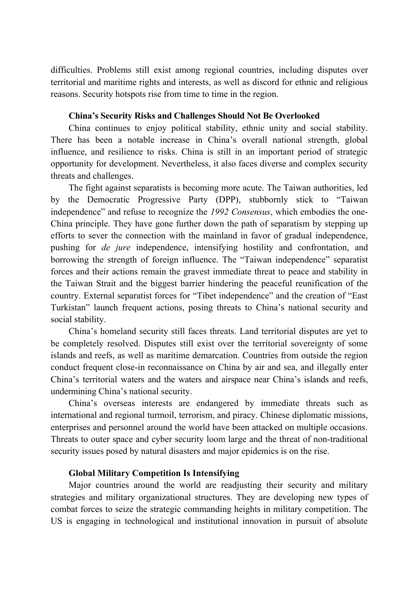difficulties. Problems still exist among regional countries, including disputes over territorial and maritime rights and interests, as well as discord for ethnic and religious reasons. Security hotspots rise from time to time in the region.

#### **China's Security Risks and Challenges Should Not Be Overlooked**

China continues to enjoy political stability, ethnic unity and social stability. There has been a notable increase in China's overall national strength, global influence, and resilience to risks. China is still in an important period of strategic opportunity for development. Nevertheless, it also faces diverse and complex security threats and challenges.

The fight against separatists is becoming more acute. The Taiwan authorities, led by the Democratic Progressive Party (DPP), stubbornly stick to "Taiwan independence" and refuse to recognize the *1992 Consensus*, which embodies the one-China principle. They have gone further down the path of separatism by stepping up efforts to sever the connection with the mainland in favor of gradual independence, pushing for *de jure* independence, intensifying hostility and confrontation, and borrowing the strength of foreign influence. The "Taiwan independence" separatist forces and their actions remain the gravest immediate threat to peace and stability in the Taiwan Strait and the biggest barrier hindering the peaceful reunification of the country. External separatist forces for "Tibet independence" and the creation of "East Turkistan" launch frequent actions, posing threats to China's national security and social stability.

China's homeland security still faces threats. Land territorial disputes are yet to be completely resolved. Disputes still exist over the territorial sovereignty of some islands and reefs, as well as maritime demarcation. Countries from outside the region conduct frequent close-in reconnaissance on China by air and sea, and illegally enter China's territorial waters and the waters and airspace near China's islands and reefs, undermining China's national security.

China's overseas interests are endangered by immediate threats such as international and regional turmoil, terrorism, and piracy. Chinese diplomatic missions, enterprises and personnel around the world have been attacked on multiple occasions. Threats to outer space and cyber security loom large and the threat of non-traditional security issues posed by natural disasters and major epidemics is on the rise.

#### **Global Military Competition Is Intensifying**

Major countries around the world are readjusting their security and military strategies and military organizational structures. They are developing new types of combat forces to seize the strategic commanding heights in military competition. The US is engaging in technological and institutional innovation in pursuit of absolute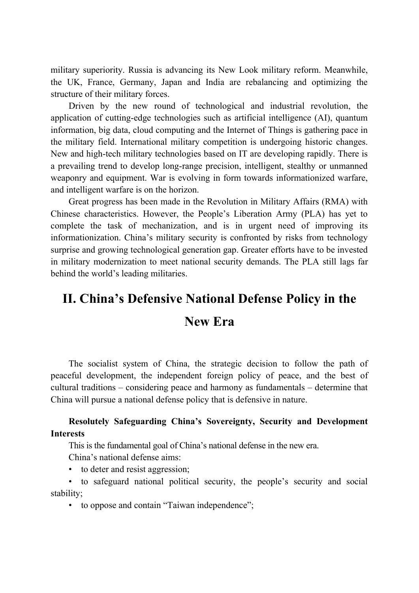military superiority. Russia is advancing its New Look military reform. Meanwhile, the UK, France, Germany, Japan and India are rebalancing and optimizing the structure of their military forces.

Driven by the new round of technological and industrial revolution, the application of cutting-edge technologies such as artificial intelligence (AI), quantum information, big data, cloud computing and the Internet of Things is gathering pace in the military field. International military competition is undergoing historic changes. New and high-tech military technologies based on IT are developing rapidly. There is a prevailing trend to develop long-range precision, intelligent, stealthy or unmanned weaponry and equipment. War is evolving in form towards informationized warfare, and intelligent warfare is on the horizon.

Great progress has been made in the Revolution in Military Affairs (RMA) with Chinese characteristics. However, the People's Liberation Army (PLA) has yet to complete the task of mechanization, and is in urgent need of improving its informationization. China's military security is confronted by risks from technology surprise and growing technological generation gap. Greater efforts have to be invested in military modernization to meet national security demands. The PLA still lags far behind the world's leading militaries.

## **II. China's Defensive National Defense Policy in the New Era**

The socialist system of China, the strategic decision to follow the path of peaceful development, the independent foreign policy of peace, and the best of cultural traditions – considering peace and harmony as fundamentals – determine that China will pursue a national defense policy that is defensive in nature.

#### **Resolutely Safeguarding China's Sovereignty, Security and Development Interests**

This is the fundamental goal of China's national defense in the new era.

China's national defense aims:

• to deter and resist aggression;

• to safeguard national political security, the people's security and social stability;

• to oppose and contain "Taiwan independence";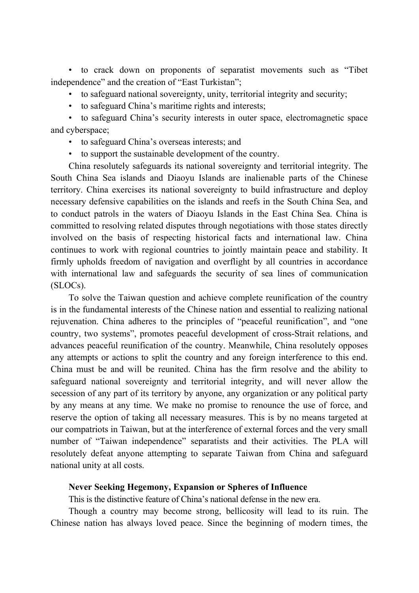• to crack down on proponents of separatist movements such as "Tibet independence" and the creation of "East Turkistan";

- to safeguard national sovereignty, unity, territorial integrity and security;
- to safeguard China's maritime rights and interests;

• to safeguard China's security interests in outer space, electromagnetic space and cyberspace;

- to safeguard China's overseas interests; and
- to support the sustainable development of the country.

China resolutely safeguards its national sovereignty and territorial integrity. The South China Sea islands and Diaoyu Islands are inalienable parts of the Chinese territory. China exercises its national sovereignty to build infrastructure and deploy necessary defensive capabilities on the islands and reefs in the South China Sea, and to conduct patrols in the waters of Diaoyu Islands in the East China Sea. China is committed to resolving related disputes through negotiations with those states directly involved on the basis of respecting historical facts and international law. China continues to work with regional countries to jointly maintain peace and stability. It firmly upholds freedom of navigation and overflight by all countries in accordance with international law and safeguards the security of sea lines of communication (SLOCs).

To solve the Taiwan question and achieve complete reunification of the country is in the fundamental interests of the Chinese nation and essential to realizing national rejuvenation. China adheres to the principles of "peaceful reunification", and "one country, two systems", promotes peaceful development of cross-Strait relations, and advances peaceful reunification of the country. Meanwhile, China resolutely opposes any attempts or actions to split the country and any foreign interference to this end. China must be and will be reunited. China has the firm resolve and the ability to safeguard national sovereignty and territorial integrity, and will never allow the secession of any part of its territory by anyone, any organization or any political party by any means at any time. We make no promise to renounce the use of force, and reserve the option of taking all necessary measures. This is by no means targeted at our compatriots in Taiwan, but at the interference of external forces and the very small number of "Taiwan independence" separatists and their activities. The PLA will resolutely defeat anyone attempting to separate Taiwan from China and safeguard national unity at all costs.

#### **Never Seeking Hegemony, Expansion or Spheres of Influence**

This is the distinctive feature of China's national defense in the new era.

Though a country may become strong, bellicosity will lead to its ruin. The Chinese nation has always loved peace. Since the beginning of modern times, the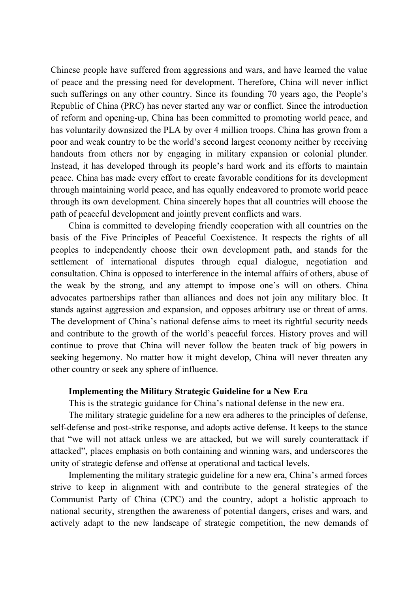Chinese people have suffered from aggressions and wars, and have learned the value of peace and the pressing need for development. Therefore, China will never inflict such sufferings on any other country. Since its founding 70 years ago, the People's Republic of China (PRC) has never started any war or conflict. Since the introduction of reform and opening-up, China has been committed to promoting world peace, and has voluntarily downsized the PLA by over 4 million troops. China has grown from a poor and weak country to be the world's second largest economy neither by receiving handouts from others nor by engaging in military expansion or colonial plunder. Instead, it has developed through its people's hard work and its efforts to maintain peace. China has made every effort to create favorable conditions for its development through maintaining world peace, and has equally endeavored to promote world peace through its own development. China sincerely hopes that all countries will choose the path of peaceful development and jointly prevent conflicts and wars.

China is committed to developing friendly cooperation with all countries on the basis of the Five Principles of Peaceful Coexistence. It respects the rights of all peoples to independently choose their own development path, and stands for the settlement of international disputes through equal dialogue, negotiation and consultation. China is opposed to interference in the internal affairs of others, abuse of the weak by the strong, and any attempt to impose one's will on others. China advocates partnerships rather than alliances and does not join any military bloc. It stands against aggression and expansion, and opposes arbitrary use or threat of arms. The development of China's national defense aims to meet its rightful security needs and contribute to the growth of the world's peaceful forces. History proves and will continue to prove that China will never follow the beaten track of big powers in seeking hegemony. No matter how it might develop, China will never threaten any other country or seek any sphere of influence.

#### **Implementing the Military Strategic Guideline for a New Era**

This is the strategic guidance for China's national defense in the new era.

The military strategic guideline for a new era adheres to the principles of defense, self-defense and post-strike response, and adopts active defense. It keeps to the stance that "we will not attack unless we are attacked, but we will surely counterattack if attacked", places emphasis on both containing and winning wars, and underscores the unity of strategic defense and offense at operational and tactical levels.

Implementing the military strategic guideline for a new era, China's armed forces strive to keep in alignment with and contribute to the general strategies of the Communist Party of China (CPC) and the country, adopt a holistic approach to national security, strengthen the awareness of potential dangers, crises and wars, and actively adapt to the new landscape of strategic competition, the new demands of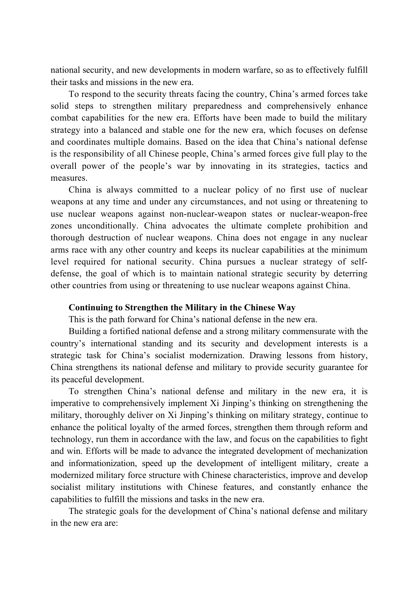national security, and new developments in modern warfare, so as to effectively fulfill their tasks and missions in the new era.

To respond to the security threats facing the country, China's armed forces take solid steps to strengthen military preparedness and comprehensively enhance combat capabilities for the new era. Efforts have been made to build the military strategy into a balanced and stable one for the new era, which focuses on defense and coordinates multiple domains. Based on the idea that China's national defense is the responsibility of all Chinese people, China's armed forces give full play to the overall power of the people's war by innovating in its strategies, tactics and measures.

China is always committed to a nuclear policy of no first use of nuclear weapons at any time and under any circumstances, and not using or threatening to use nuclear weapons against non-nuclear-weapon states or nuclear-weapon-free zones unconditionally. China advocates the ultimate complete prohibition and thorough destruction of nuclear weapons. China does not engage in any nuclear arms race with any other country and keeps its nuclear capabilities at the minimum level required for national security. China pursues a nuclear strategy of selfdefense, the goal of which is to maintain national strategic security by deterring other countries from using or threatening to use nuclear weapons against China.

#### **Continuing to Strengthen the Military in the Chinese Way**

This is the path forward for China's national defense in the new era.

Building a fortified national defense and a strong military commensurate with the country's international standing and its security and development interests is a strategic task for China's socialist modernization. Drawing lessons from history, China strengthens its national defense and military to provide security guarantee for its peaceful development.

To strengthen China's national defense and military in the new era, it is imperative to comprehensively implement Xi Jinping's thinking on strengthening the military, thoroughly deliver on Xi Jinping's thinking on military strategy, continue to enhance the political loyalty of the armed forces, strengthen them through reform and technology, run them in accordance with the law, and focus on the capabilities to fight and win. Efforts will be made to advance the integrated development of mechanization and informationization, speed up the development of intelligent military, create a modernized military force structure with Chinese characteristics, improve and develop socialist military institutions with Chinese features, and constantly enhance the capabilities to fulfill the missions and tasks in the new era.

The strategic goals for the development of China's national defense and military in the new era are: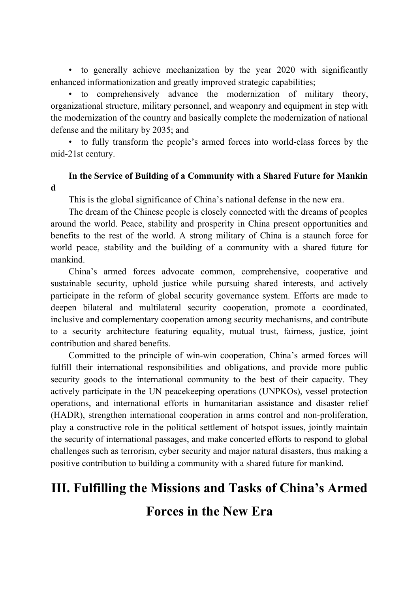• to generally achieve mechanization by the year 2020 with significantly enhanced informationization and greatly improved strategic capabilities;

• to comprehensively advance the modernization of military theory, organizational structure, military personnel, and weaponry and equipment in step with the modernization of the country and basically complete the modernization of national defense and the military by 2035; and

• to fully transform the people's armed forces into world-class forces by the mid-21st century.

#### **In the Service of Building of a Community with a Shared Future for Mankin d**

This is the global significance of China's national defense in the new era.

The dream of the Chinese people is closely connected with the dreams of peoples around the world. Peace, stability and prosperity in China present opportunities and benefits to the rest of the world. A strong military of China is a staunch force for world peace, stability and the building of a community with a shared future for mankind.

China's armed forces advocate common, comprehensive, cooperative and sustainable security, uphold justice while pursuing shared interests, and actively participate in the reform of global security governance system. Efforts are made to deepen bilateral and multilateral security cooperation, promote a coordinated, inclusive and complementary cooperation among security mechanisms, and contribute to a security architecture featuring equality, mutual trust, fairness, justice, joint contribution and shared benefits.

Committed to the principle of win-win cooperation, China's armed forces will fulfill their international responsibilities and obligations, and provide more public security goods to the international community to the best of their capacity. They actively participate in the UN peacekeeping operations (UNPKOs), vessel protection operations, and international efforts in humanitarian assistance and disaster relief (HADR), strengthen international cooperation in arms control and non-proliferation, play a constructive role in the political settlement of hotspot issues, jointly maintain the security of international passages, and make concerted efforts to respond to global challenges such as terrorism, cyber security and major natural disasters, thus making a positive contribution to building a community with a shared future for mankind.

## **III. Fulfilling the Missions and Tasks of China's Armed**

**Forces in the New Era**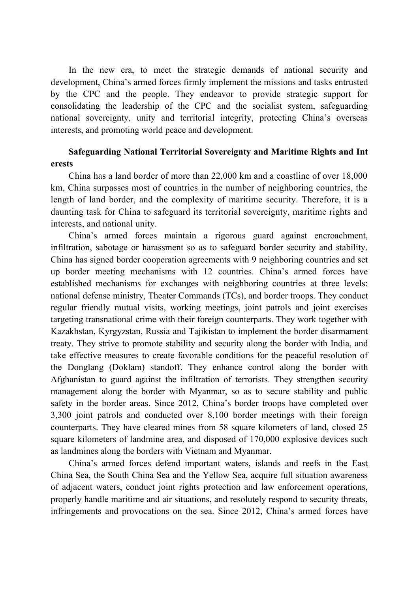In the new era, to meet the strategic demands of national security and development, China's armed forces firmly implement the missions and tasks entrusted by the CPC and the people. They endeavor to provide strategic support for consolidating the leadership of the CPC and the socialist system, safeguarding national sovereignty, unity and territorial integrity, protecting China's overseas interests, and promoting world peace and development.

#### **Safeguarding National Territorial Sovereignty and Maritime Rights and Int erests**

China has a land border of more than 22,000 km and a coastline of over 18,000 km, China surpasses most of countries in the number of neighboring countries, the length of land border, and the complexity of maritime security. Therefore, it is a daunting task for China to safeguard its territorial sovereignty, maritime rights and interests, and national unity.

China's armed forces maintain a rigorous guard against encroachment, infiltration, sabotage or harassment so as to safeguard border security and stability. China has signed border cooperation agreements with 9 neighboring countries and set up border meeting mechanisms with 12 countries. China's armed forces have established mechanisms for exchanges with neighboring countries at three levels: national defense ministry, Theater Commands (TCs), and border troops. They conduct regular friendly mutual visits, working meetings, joint patrols and joint exercises targeting transnational crime with their foreign counterparts. They work together with Kazakhstan, Kyrgyzstan, Russia and Tajikistan to implement the border disarmament treaty. They strive to promote stability and security along the border with India, and take effective measures to create favorable conditions for the peaceful resolution of the Donglang (Doklam) standoff. They enhance control along the border with Afghanistan to guard against the infiltration of terrorists. They strengthen security management along the border with Myanmar, so as to secure stability and public safety in the border areas. Since 2012, China's border troops have completed over 3,300 joint patrols and conducted over 8,100 border meetings with their foreign counterparts. They have cleared mines from 58 square kilometers of land, closed 25 square kilometers of landmine area, and disposed of 170,000 explosive devices such as landmines along the borders with Vietnam and Myanmar.

China's armed forces defend important waters, islands and reefs in the East China Sea, the South China Sea and the Yellow Sea, acquire full situation awareness of adjacent waters, conduct joint rights protection and law enforcement operations, properly handle maritime and air situations, and resolutely respond to security threats, infringements and provocations on the sea. Since 2012, China's armed forces have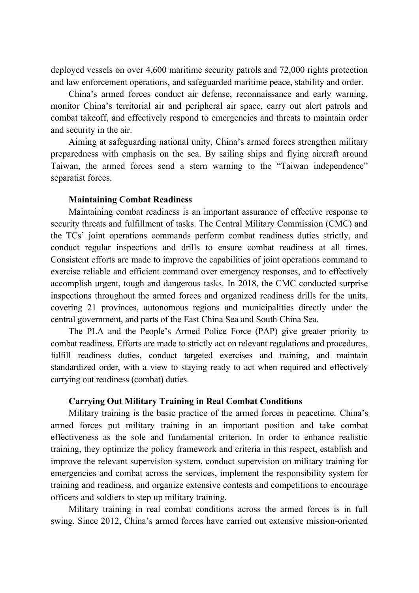deployed vessels on over 4,600 maritime security patrols and 72,000 rights protection and law enforcement operations, and safeguarded maritime peace, stability and order.

China's armed forces conduct air defense, reconnaissance and early warning, monitor China's territorial air and peripheral air space, carry out alert patrols and combat takeoff, and effectively respond to emergencies and threats to maintain order and security in the air.

Aiming at safeguarding national unity, China's armed forces strengthen military preparedness with emphasis on the sea. By sailing ships and flying aircraft around Taiwan, the armed forces send a stern warning to the "Taiwan independence" separatist forces.

#### **Maintaining Combat Readiness**

Maintaining combat readiness is an important assurance of effective response to security threats and fulfillment of tasks. The Central Military Commission (CMC) and the TCs' joint operations commands perform combat readiness duties strictly, and conduct regular inspections and drills to ensure combat readiness at all times. Consistent efforts are made to improve the capabilities of joint operations command to exercise reliable and efficient command over emergency responses, and to effectively accomplish urgent, tough and dangerous tasks. In 2018, the CMC conducted surprise inspections throughout the armed forces and organized readiness drills for the units, covering 21 provinces, autonomous regions and municipalities directly under the central government, and parts of the East China Sea and South China Sea.

The PLA and the People's Armed Police Force (PAP) give greater priority to combat readiness. Efforts are made to strictly act on relevant regulations and procedures, fulfill readiness duties, conduct targeted exercises and training, and maintain standardized order, with a view to staying ready to act when required and effectively carrying out readiness (combat) duties.

#### **Carrying Out Military Training in Real Combat Conditions**

Military training is the basic practice of the armed forces in peacetime. China's armed forces put military training in an important position and take combat effectiveness as the sole and fundamental criterion. In order to enhance realistic training, they optimize the policy framework and criteria in this respect, establish and improve the relevant supervision system, conduct supervision on military training for emergencies and combat across the services, implement the responsibility system for training and readiness, and organize extensive contests and competitions to encourage officers and soldiers to step up military training.

Military training in real combat conditions across the armed forces is in full swing. Since 2012, China's armed forces have carried out extensive mission-oriented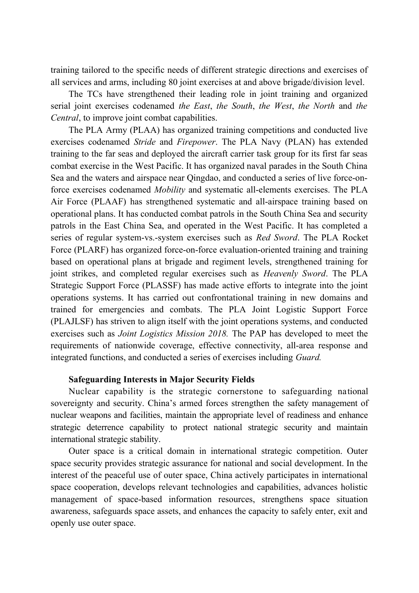training tailored to the specific needs of different strategic directions and exercises of all services and arms, including 80 joint exercises at and above brigade/division level.

The TCs have strengthened their leading role in joint training and organized serial joint exercises codenamed *the East*, *the South*, *the West*, *the North* and *the Central*, to improve joint combat capabilities.

The PLA Army (PLAA) has organized training competitions and conducted live exercises codenamed *Stride* and *Firepower*. The PLA Navy (PLAN) has extended training to the far seas and deployed the aircraft carrier task group for its first far seas combat exercise in the West Pacific. It has organized naval parades in the South China Sea and the waters and airspace near Qingdao, and conducted a series of live force-onforce exercises codenamed *Mobility* and systematic all-elements exercises. The PLA Air Force (PLAAF) has strengthened systematic and all-airspace training based on operational plans. It has conducted combat patrols in the South China Sea and security patrols in the East China Sea, and operated in the West Pacific. It has completed a series of regular system-vs.-system exercises such as *Red Sword*. The PLA Rocket Force (PLARF) has organized force-on-force evaluation-oriented training and training based on operational plans at brigade and regiment levels, strengthened training for joint strikes, and completed regular exercises such as *Heavenly Sword*. The PLA Strategic Support Force (PLASSF) has made active efforts to integrate into the joint operations systems. It has carried out confrontational training in new domains and trained for emergencies and combats. The PLA Joint Logistic Support Force (PLAJLSF) has striven to align itself with the joint operations systems, and conducted exercises such as *Joint Logistics Mission 2018.* The PAP has developed to meet the requirements of nationwide coverage, effective connectivity, all-area response and integrated functions, and conducted a series of exercises including *Guard.*

#### **Safeguarding Interests in Major Security Fields**

Nuclear capability is the strategic cornerstone to safeguarding national sovereignty and security. China's armed forces strengthen the safety management of nuclear weapons and facilities, maintain the appropriate level of readiness and enhance strategic deterrence capability to protect national strategic security and maintain international strategic stability.

Outer space is a critical domain in international strategic competition. Outer space security provides strategic assurance for national and social development. In the interest of the peaceful use of outer space, China actively participates in international space cooperation, develops relevant technologies and capabilities, advances holistic management of space-based information resources, strengthens space situation awareness, safeguards space assets, and enhances the capacity to safely enter, exit and openly use outer space.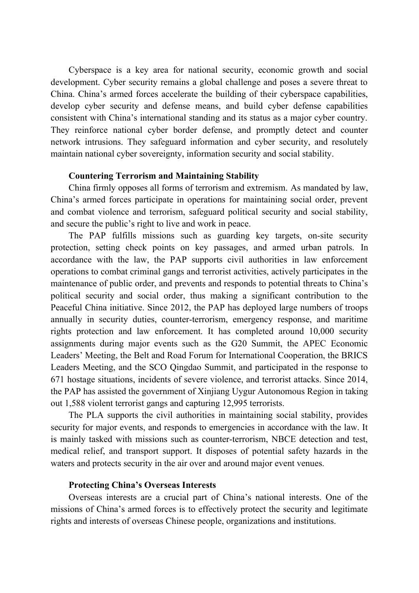Cyberspace is a key area for national security, economic growth and social development. Cyber security remains a global challenge and poses a severe threat to China. China's armed forces accelerate the building of their cyberspace capabilities, develop cyber security and defense means, and build cyber defense capabilities consistent with China's international standing and its status as a major cyber country. They reinforce national cyber border defense, and promptly detect and counter network intrusions. They safeguard information and cyber security, and resolutely maintain national cyber sovereignty, information security and social stability.

#### **Countering Terrorism and Maintaining Stability**

China firmly opposes all forms of terrorism and extremism. As mandated by law, China's armed forces participate in operations for maintaining social order, prevent and combat violence and terrorism, safeguard political security and social stability, and secure the public's right to live and work in peace.

The PAP fulfills missions such as guarding key targets, on-site security protection, setting check points on key passages, and armed urban patrols. In accordance with the law, the PAP supports civil authorities in law enforcement operations to combat criminal gangs and terrorist activities, actively participates in the maintenance of public order, and prevents and responds to potential threats to China's political security and social order, thus making a significant contribution to the Peaceful China initiative. Since 2012, the PAP has deployed large numbers of troops annually in security duties, counter-terrorism, emergency response, and maritime rights protection and law enforcement. It has completed around 10,000 security assignments during major events such as the G20 Summit, the APEC Economic Leaders' Meeting, the Belt and Road Forum for International Cooperation, the BRICS Leaders Meeting, and the SCO Qingdao Summit, and participated in the response to 671 hostage situations, incidents of severe violence, and terrorist attacks. Since 2014, the PAP has assisted the government of Xinjiang Uygur Autonomous Region in taking out 1,588 violent terrorist gangs and capturing 12,995 terrorists.

The PLA supports the civil authorities in maintaining social stability, provides security for major events, and responds to emergencies in accordance with the law. It is mainly tasked with missions such as counter-terrorism, NBCE detection and test, medical relief, and transport support. It disposes of potential safety hazards in the waters and protects security in the air over and around major event venues.

#### **Protecting China's Overseas Interests**

Overseas interests are a crucial part of China's national interests. One of the missions of China's armed forces is to effectively protect the security and legitimate rights and interests of overseas Chinese people, organizations and institutions.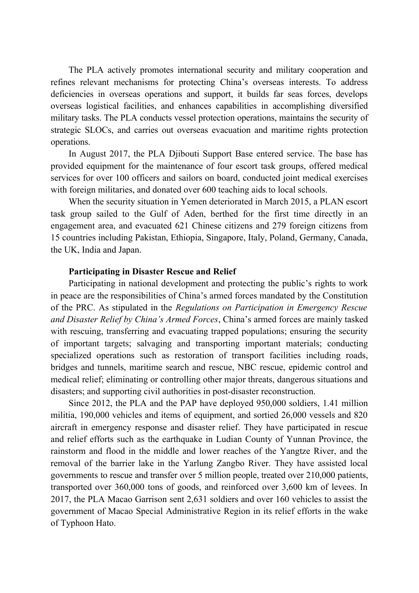The PLA actively promotes international security and military cooperation and refines relevant mechanisms for protecting China's overseas interests. To address deficiencies in overseas operations and support, it builds far seas forces, develops overseas logistical facilities, and enhances capabilities in accomplishing diversified military tasks. The PLA conducts vessel protection operations, maintains the security of strategic SLOCs, and carries out overseas evacuation and maritime rights protection operations.

In August 2017, the PLA Djibouti Support Base entered service. The base has provided equipment for the maintenance of four escort task groups, offered medical services for over 100 officers and sailors on board, conducted joint medical exercises with foreign militaries, and donated over 600 teaching aids to local schools.

When the security situation in Yemen deteriorated in March 2015, a PLAN escort task group sailed to the Gulf of Aden, berthed for the first time directly in an engagement area, and evacuated 621 Chinese citizens and 279 foreign citizens from 15 countries including Pakistan, Ethiopia, Singapore, Italy, Poland, Germany, Canada, the UK, India and Japan.

#### **Participating in Disaster Rescue and Relief**

Participating in national development and protecting the public's rights to work in peace are the responsibilities of China's armed forces mandated by the Constitution of the PRC. As stipulated in the *Regulations on Participation in Emergency Rescue and Disaster Relief by China's Armed Forces*, China's armed forces are mainly tasked with rescuing, transferring and evacuating trapped populations; ensuring the security of important targets; salvaging and transporting important materials; conducting specialized operations such as restoration of transport facilities including roads, bridges and tunnels, maritime search and rescue, NBC rescue, epidemic control and medical relief; eliminating or controlling other major threats, dangerous situations and disasters; and supporting civil authorities in post-disaster reconstruction.

Since 2012, the PLA and the PAP have deployed 950,000 soldiers, 1.41 million militia, 190,000 vehicles and items of equipment, and sortied 26,000 vessels and 820 aircraft in emergency response and disaster relief. They have participated in rescue and relief efforts such as the earthquake in Ludian County of Yunnan Province, the rainstorm and flood in the middle and lower reaches of the Yangtze River, and the removal of the barrier lake in the Yarlung Zangbo River. They have assisted local governments to rescue and transfer over 5 million people, treated over 210,000 patients, transported over 360,000 tons of goods, and reinforced over 3,600 km of levees. In 2017, the PLA Macao Garrison sent 2,631 soldiers and over 160 vehicles to assist the government of Macao Special Administrative Region in its relief efforts in the wake of Typhoon Hato.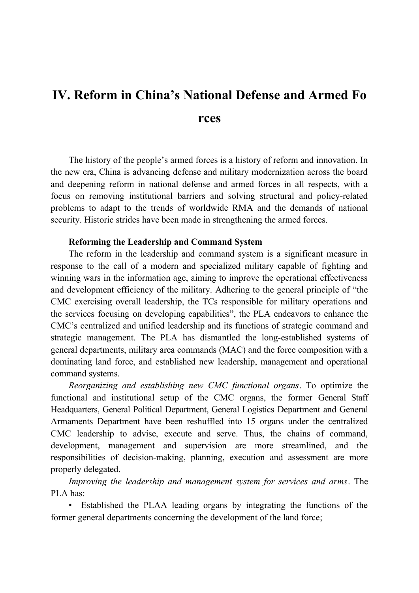## **IV. Reform in China's National Defense and Armed Fo rces**

The history of the people's armed forces is a history of reform and innovation. In the new era, China is advancing defense and military modernization across the board and deepening reform in national defense and armed forces in all respects, with a focus on removing institutional barriers and solving structural and policy-related problems to adapt to the trends of worldwide RMA and the demands of national security. Historic strides have been made in strengthening the armed forces.

#### **Reforming the Leadership and Command System**

The reform in the leadership and command system is a significant measure in response to the call of a modern and specialized military capable of fighting and winning wars in the information age, aiming to improve the operational effectiveness and development efficiency of the military. Adhering to the general principle of "the CMC exercising overall leadership, the TCs responsible for military operations and the services focusing on developing capabilities", the PLA endeavors to enhance the CMC's centralized and unified leadership and its functions of strategic command and strategic management. The PLA has dismantled the long-established systems of general departments, military area commands (MAC) and the force composition with a dominating land force, and established new leadership, management and operational command systems.

*Reorganizing and establishing new CMC functional organs*. To optimize the functional and institutional setup of the CMC organs, the former General Staff Headquarters, General Political Department, General Logistics Department and General Armaments Department have been reshuffled into 15 organs under the centralized CMC leadership to advise, execute and serve. Thus, the chains of command, development, management and supervision are more streamlined, and the responsibilities of decision-making, planning, execution and assessment are more properly delegated.

*Improving the leadership and management system for services and arms*. The PLA has:

• Established the PLAA leading organs by integrating the functions of the former general departments concerning the development of the land force;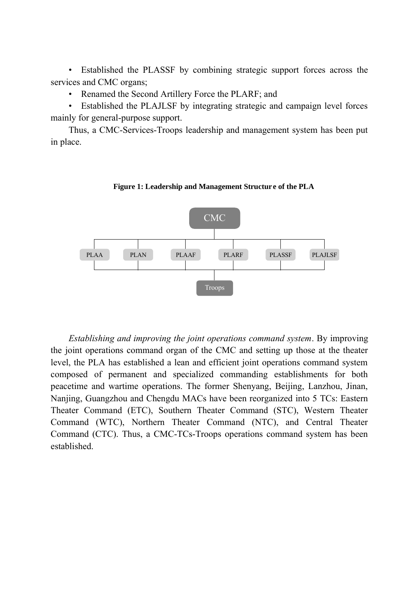• Established the PLASSF by combining strategic support forces across the services and CMC organs;

• Renamed the Second Artillery Force the PLARF; and

• Established the PLAJLSF by integrating strategic and campaign level forces mainly for general-purpose support.

Thus, a CMC-Services-Troops leadership and management system has been put in place.

**Figure 1: Leadership and Management Structur e of the PLA**



*Establishing and improving the joint operations command system*. By improving the joint operations command organ of the CMC and setting up those at the theater level, the PLA has established a lean and efficient joint operations command system composed of permanent and specialized commanding establishments for both peacetime and wartime operations. The former Shenyang, Beijing, Lanzhou, Jinan, Nanjing, Guangzhou and Chengdu MACs have been reorganized into 5 TCs: Eastern Theater Command (ETC), Southern Theater Command (STC), Western Theater Command (WTC), Northern Theater Command (NTC), and Central Theater Command (CTC). Thus, a CMC-TCs-Troops operations command system has been established.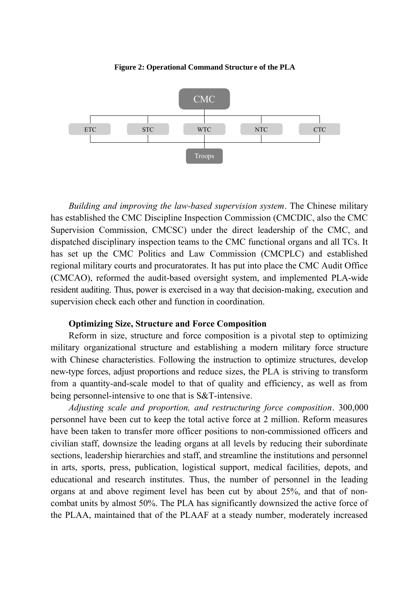**Figure 2: Operational Command Structure of the PLA**



*Building and improving the law-based supervision system*. The Chinese military has established the CMC Discipline Inspection Commission (CMCDIC, also the CMC Supervision Commission, CMCSC) under the direct leadership of the CMC, and dispatched disciplinary inspection teams to the CMC functional organs and all TCs. It has set up the CMC Politics and Law Commission (CMCPLC) and established regional military courts and procuratorates. It has put into place the CMC Audit Office (CMCAO), reformed the audit-based oversight system, and implemented PLA-wide resident auditing. Thus, power is exercised in a way that decision-making, execution and supervision check each other and function in coordination.

#### **Optimizing Size, Structure and Force Composition**

Reform in size, structure and force composition is a pivotal step to optimizing military organizational structure and establishing a modern military force structure with Chinese characteristics. Following the instruction to optimize structures, develop new-type forces, adjust proportions and reduce sizes, the PLA is striving to transform from a quantity-and-scale model to that of quality and efficiency, as well as from being personnel-intensive to one that is S&T-intensive.

*Adjusting scale and proportion, and restructuring force composition*. 300,000 personnel have been cut to keep the total active force at 2 million. Reform measures have been taken to transfer more officer positions to non-commissioned officers and civilian staff, downsize the leading organs at all levels by reducing their subordinate sections, leadership hierarchies and staff, and streamline the institutions and personnel in arts, sports, press, publication, logistical support, medical facilities, depots, and educational and research institutes. Thus, the number of personnel in the leading organs at and above regiment level has been cut by about 25%, and that of noncombat units by almost 50%. The PLA has significantly downsized the active force of the PLAA, maintained that of the PLAAF at a steady number, moderately increased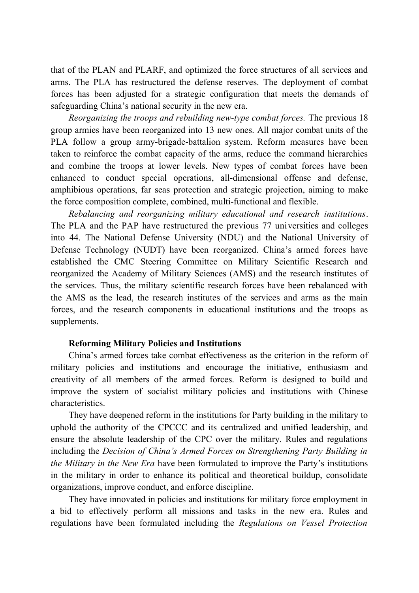that of the PLAN and PLARF, and optimized the force structures of all services and arms. The PLA has restructured the defense reserves. The deployment of combat forces has been adjusted for a strategic configuration that meets the demands of safeguarding China's national security in the new era.

*Reorganizing the troops and rebuilding new-type combat forces.* The previous 18 group armies have been reorganized into 13 new ones. All major combat units of the PLA follow a group army-brigade-battalion system. Reform measures have been taken to reinforce the combat capacity of the arms, reduce the command hierarchies and combine the troops at lower levels. New types of combat forces have been enhanced to conduct special operations, all-dimensional offense and defense, amphibious operations, far seas protection and strategic projection, aiming to make the force composition complete, combined, multi-functional and flexible.

*Rebalancing and reorganizing military educational and research institutions*. The PLA and the PAP have restructured the previous 77 universities and colleges into 44. The National Defense University (NDU) and the National University of Defense Technology (NUDT) have been reorganized. China's armed forces have established the CMC Steering Committee on Military Scientific Research and reorganized the Academy of Military Sciences (AMS) and the research institutes of the services. Thus, the military scientific research forces have been rebalanced with the AMS as the lead, the research institutes of the services and arms as the main forces, and the research components in educational institutions and the troops as supplements.

#### **Reforming Military Policies and Institutions**

China's armed forces take combat effectiveness as the criterion in the reform of military policies and institutions and encourage the initiative, enthusiasm and creativity of all members of the armed forces. Reform is designed to build and improve the system of socialist military policies and institutions with Chinese characteristics.

They have deepened reform in the institutions for Party building in the military to uphold the authority of the CPCCC and its centralized and unified leadership, and ensure the absolute leadership of the CPC over the military. Rules and regulations including the *Decision of China's Armed Forces on Strengthening Party Building in the Military in the New Era* have been formulated to improve the Party's institutions in the military in order to enhance its political and theoretical buildup, consolidate organizations, improve conduct, and enforce discipline.

They have innovated in policies and institutions for military force employment in a bid to effectively perform all missions and tasks in the new era. Rules and regulations have been formulated including the *Regulations on Vessel Protection*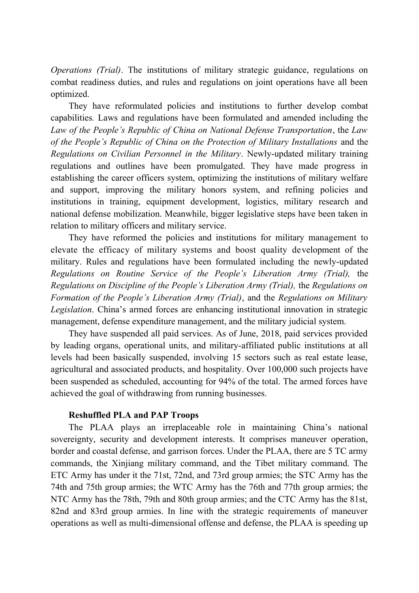*Operations (Trial)*. The institutions of military strategic guidance, regulations on combat readiness duties, and rules and regulations on joint operations have all been optimized.

They have reformulated policies and institutions to further develop combat capabilities*.* Laws and regulations have been formulated and amended including the *Law of the People's Republic of China on National Defense Transportation*, the *Law of the People's Republic of China on the Protection of Military Installations* and the *Regulations on Civilian Personnel in the Military*. Newly-updated military training regulations and outlines have been promulgated. They have made progress in establishing the career officers system, optimizing the institutions of military welfare and support, improving the military honors system, and refining policies and institutions in training, equipment development, logistics, military research and national defense mobilization. Meanwhile, bigger legislative steps have been taken in relation to military officers and military service.

They have reformed the policies and institutions for military management to elevate the efficacy of military systems and boost quality development of the military. Rules and regulations have been formulated including the newly-updated *Regulations on Routine Service of the People's Liberation Army (Trial),* the *Regulations on Discipline of the People's Liberation Army (Trial),* the *Regulations on Formation of the People's Liberation Army (Trial)*, and the *Regulations on Military Legislation*. China's armed forces are enhancing institutional innovation in strategic management, defense expenditure management, and the military judicial system.

They have suspended all paid services. As of June, 2018, paid services provided by leading organs, operational units, and military-affiliated public institutions at all levels had been basically suspended, involving 15 sectors such as real estate lease, agricultural and associated products, and hospitality. Over 100,000 such projects have been suspended as scheduled, accounting for 94% of the total. The armed forces have achieved the goal of withdrawing from running businesses.

#### **Reshuffled PLA and PAP Troops**

The PLAA plays an irreplaceable role in maintaining China's national sovereignty, security and development interests. It comprises maneuver operation, border and coastal defense, and garrison forces. Under the PLAA, there are 5 TC army commands, the Xinjiang military command, and the Tibet military command. The ETC Army has under it the 71st, 72nd, and 73rd group armies; the STC Army has the 74th and 75th group armies; the WTC Army has the 76th and 77th group armies; the NTC Army has the 78th, 79th and 80th group armies; and the CTC Army has the 81st, 82nd and 83rd group armies. In line with the strategic requirements of maneuver operations as well as multi-dimensional offense and defense, the PLAA is speeding up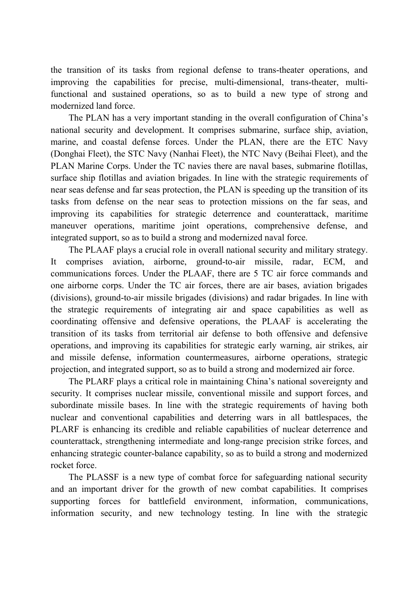the transition of its tasks from regional defense to trans-theater operations, and improving the capabilities for precise, multi-dimensional, trans-theater, multifunctional and sustained operations, so as to build a new type of strong and modernized land force.

The PLAN has a very important standing in the overall configuration of China's national security and development. It comprises submarine, surface ship, aviation, marine, and coastal defense forces. Under the PLAN, there are the ETC Navy (Donghai Fleet), the STC Navy (Nanhai Fleet), the NTC Navy (Beihai Fleet), and the PLAN Marine Corps. Under the TC navies there are naval bases, submarine flotillas, surface ship flotillas and aviation brigades. In line with the strategic requirements of near seas defense and far seas protection, the PLAN is speeding up the transition of its tasks from defense on the near seas to protection missions on the far seas, and improving its capabilities for strategic deterrence and counterattack, maritime maneuver operations, maritime joint operations, comprehensive defense, and integrated support, so as to build a strong and modernized naval force.

The PLAAF plays a crucial role in overall national security and military strategy. It comprises aviation, airborne, ground-to-air missile, radar, ECM, and communications forces. Under the PLAAF, there are 5 TC air force commands and one airborne corps. Under the TC air forces, there are air bases, aviation brigades (divisions), ground-to-air missile brigades (divisions) and radar brigades. In line with the strategic requirements of integrating air and space capabilities as well as coordinating offensive and defensive operations, the PLAAF is accelerating the transition of its tasks from territorial air defense to both offensive and defensive operations, and improving its capabilities for strategic early warning, air strikes, air and missile defense, information countermeasures, airborne operations, strategic projection, and integrated support, so as to build a strong and modernized air force.

The PLARF plays a critical role in maintaining China's national sovereignty and security. It comprises nuclear missile, conventional missile and support forces, and subordinate missile bases. In line with the strategic requirements of having both nuclear and conventional capabilities and deterring wars in all battlespaces, the PLARF is enhancing its credible and reliable capabilities of nuclear deterrence and counterattack, strengthening intermediate and long-range precision strike forces, and enhancing strategic counter-balance capability, so as to build a strong and modernized rocket force.

The PLASSF is a new type of combat force for safeguarding national security and an important driver for the growth of new combat capabilities. It comprises supporting forces for battlefield environment, information, communications, information security, and new technology testing. In line with the strategic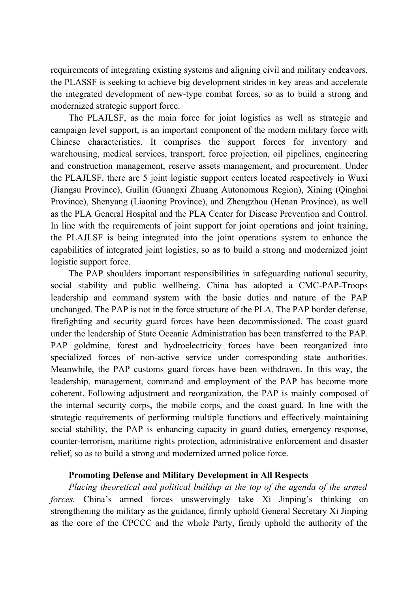requirements of integrating existing systems and aligning civil and military endeavors, the PLASSF is seeking to achieve big development strides in key areas and accelerate the integrated development of new-type combat forces, so as to build a strong and modernized strategic support force.

The PLAJLSF, as the main force for joint logistics as well as strategic and campaign level support, is an important component of the modern military force with Chinese characteristics. It comprises the support forces for inventory and warehousing, medical services, transport, force projection, oil pipelines, engineering and construction management, reserve assets management, and procurement. Under the PLAJLSF, there are 5 joint logistic support centers located respectively in Wuxi (Jiangsu Province), Guilin (Guangxi Zhuang Autonomous Region), Xining (Qinghai Province), Shenyang (Liaoning Province), and Zhengzhou (Henan Province), as well as the PLA General Hospital and the PLA Center for Disease Prevention and Control. In line with the requirements of joint support for joint operations and joint training, the PLAJLSF is being integrated into the joint operations system to enhance the capabilities of integrated joint logistics, so as to build a strong and modernized joint logistic support force.

The PAP shoulders important responsibilities in safeguarding national security, social stability and public wellbeing. China has adopted a CMC-PAP-Troops leadership and command system with the basic duties and nature of the PAP unchanged. The PAP is not in the force structure of the PLA. The PAP border defense, firefighting and security guard forces have been decommissioned. The coast guard under the leadership of State Oceanic Administration has been transferred to the PAP. PAP goldmine, forest and hydroelectricity forces have been reorganized into specialized forces of non-active service under corresponding state authorities. Meanwhile, the PAP customs guard forces have been withdrawn. In this way, the leadership, management, command and employment of the PAP has become more coherent. Following adjustment and reorganization, the PAP is mainly composed of the internal security corps, the mobile corps, and the coast guard. In line with the strategic requirements of performing multiple functions and effectively maintaining social stability, the PAP is enhancing capacity in guard duties, emergency response, counter-terrorism, maritime rights protection, administrative enforcement and disaster relief, so as to build a strong and modernized armed police force.

#### **Promoting Defense and Military Development in All Respects**

*Placing theoretical and political buildup at the top of the agenda of the armed forces.* China's armed forces unswervingly take Xi Jinping's thinking on strengthening the military as the guidance, firmly uphold General Secretary Xi Jinping as the core of the CPCCC and the whole Party, firmly uphold the authority of the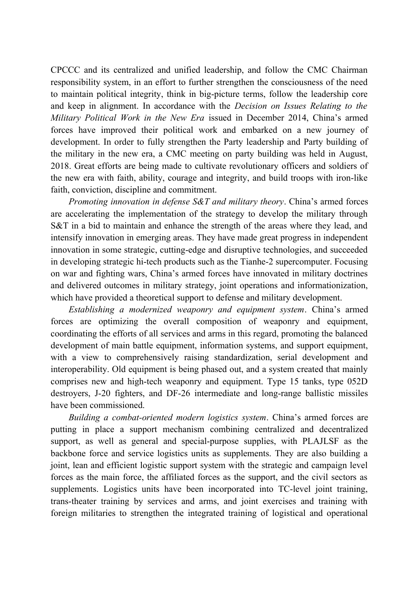CPCCC and its centralized and unified leadership, and follow the CMC Chairman responsibility system, in an effort to further strengthen the consciousness of the need to maintain political integrity, think in big-picture terms, follow the leadership core and keep in alignment. In accordance with the *Decision on Issues Relating to the Military Political Work in the New Era* issued in December 2014, China's armed forces have improved their political work and embarked on a new journey of development. In order to fully strengthen the Party leadership and Party building of the military in the new era, a CMC meeting on party building was held in August, 2018. Great efforts are being made to cultivate revolutionary officers and soldiers of the new era with faith, ability, courage and integrity, and build troops with iron-like faith, conviction, discipline and commitment.

*Promoting innovation in defense S&T and military theory*. China's armed forces are accelerating the implementation of the strategy to develop the military through S&T in a bid to maintain and enhance the strength of the areas where they lead, and intensify innovation in emerging areas. They have made great progress in independent innovation in some strategic, cutting-edge and disruptive technologies, and succeeded in developing strategic hi-tech products such as the Tianhe-2 supercomputer. Focusing on war and fighting wars, China's armed forces have innovated in military doctrines and delivered outcomes in military strategy, joint operations and informationization, which have provided a theoretical support to defense and military development.

*Establishing a modernized weaponry and equipment system*. China's armed forces are optimizing the overall composition of weaponry and equipment, coordinating the efforts of all services and arms in this regard, promoting the balanced development of main battle equipment, information systems, and support equipment, with a view to comprehensively raising standardization, serial development and interoperability. Old equipment is being phased out, and a system created that mainly comprises new and high-tech weaponry and equipment. Type 15 tanks, type 052D destroyers, J-20 fighters, and DF-26 intermediate and long-range ballistic missiles have been commissioned.

*Building a combat-oriented modern logistics system*. China's armed forces are putting in place a support mechanism combining centralized and decentralized support, as well as general and special-purpose supplies, with PLAJLSF as the backbone force and service logistics units as supplements. They are also building a joint, lean and efficient logistic support system with the strategic and campaign level forces as the main force, the affiliated forces as the support, and the civil sectors as supplements. Logistics units have been incorporated into TC-level joint training, trans-theater training by services and arms, and joint exercises and training with foreign militaries to strengthen the integrated training of logistical and operational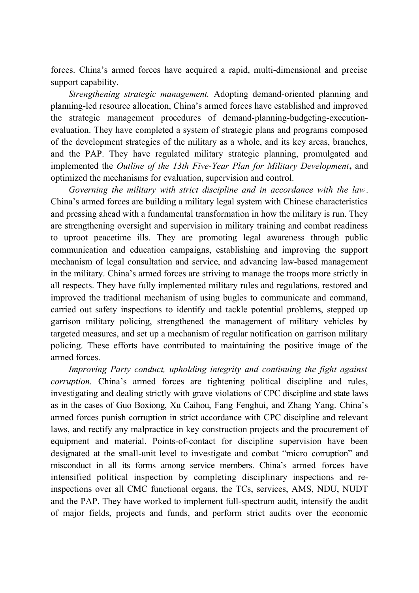forces. China's armed forces have acquired a rapid, multi-dimensional and precise support capability.

*Strengthening strategic management.* Adopting demand-oriented planning and planning-led resource allocation, China's armed forces have established and improved the strategic management procedures of demand-planning-budgeting-executionevaluation. They have completed a system of strategic plans and programs composed of the development strategies of the military as a whole, and its key areas, branches, and the PAP. They have regulated military strategic planning, promulgated and implemented the *Outline of the 13th Five-Year Plan for Military Development***,** and optimized the mechanisms for evaluation, supervision and control.

*Governing the military with strict discipline and in accordance with the law*. China's armed forces are building a military legal system with Chinese characteristics and pressing ahead with a fundamental transformation in how the military is run. They are strengthening oversight and supervision in military training and combat readiness to uproot peacetime ills. They are promoting legal awareness through public communication and education campaigns, establishing and improving the support mechanism of legal consultation and service, and advancing law-based management in the military. China's armed forces are striving to manage the troops more strictly in all respects. They have fully implemented military rules and regulations, restored and improved the traditional mechanism of using bugles to communicate and command, carried out safety inspections to identify and tackle potential problems, stepped up garrison military policing, strengthened the management of military vehicles by targeted measures, and set up a mechanism of regular notification on garrison military policing. These efforts have contributed to maintaining the positive image of the armed forces.

*Improving Party conduct, upholding integrity and continuing the fight against corruption.* China's armed forces are tightening political discipline and rules, investigating and dealing strictly with grave violations of CPC discipline and state laws as in the cases of Guo Boxiong, Xu Caihou, Fang Fenghui, and Zhang Yang. China's armed forces punish corruption in strict accordance with CPC discipline and relevant laws, and rectify any malpractice in key construction projects and the procurement of equipment and material. Points-of-contact for discipline supervision have been designated at the small-unit level to investigate and combat "micro corruption" and misconduct in all its forms among service members. China's armed forces have intensified political inspection by completing disciplinary inspections and reinspections over all CMC functional organs, the TCs, services, AMS, NDU, NUDT and the PAP. They have worked to implement full-spectrum audit, intensify the audit of major fields, projects and funds, and perform strict audits over the economic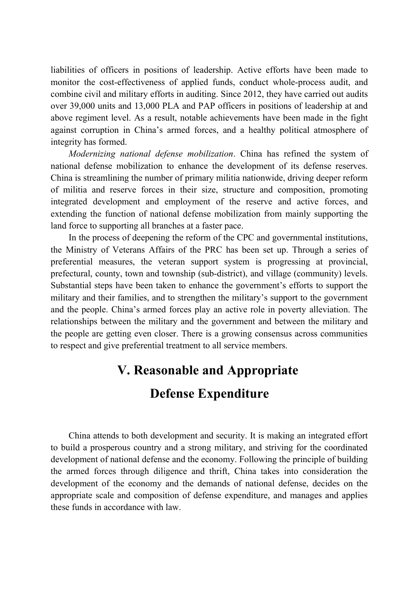liabilities of officers in positions of leadership. Active efforts have been made to monitor the cost-effectiveness of applied funds, conduct whole-process audit, and combine civil and military efforts in auditing. Since 2012, they have carried out audits over 39,000 units and 13,000 PLA and PAP officers in positions of leadership at and above regiment level. As a result, notable achievements have been made in the fight against corruption in China's armed forces, and a healthy political atmosphere of integrity has formed.

*Modernizing national defense mobilization*. China has refined the system of national defense mobilization to enhance the development of its defense reserves. China is streamlining the number of primary militia nationwide, driving deeper reform of militia and reserve forces in their size, structure and composition, promoting integrated development and employment of the reserve and active forces, and extending the function of national defense mobilization from mainly supporting the land force to supporting all branches at a faster pace.

In the process of deepening the reform of the CPC and governmental institutions, the Ministry of Veterans Affairs of the PRC has been set up. Through a series of preferential measures, the veteran support system is progressing at provincial, prefectural, county, town and township (sub-district), and village (community) levels. Substantial steps have been taken to enhance the government's efforts to support the military and their families, and to strengthen the military's support to the government and the people. China's armed forces play an active role in poverty alleviation. The relationships between the military and the government and between the military and the people are getting even closer. There is a growing consensus across communities to respect and give preferential treatment to all service members.

## **V. Reasonable and Appropriate Defense Expenditure**

China attends to both development and security. It is making an integrated effort to build a prosperous country and a strong military, and striving for the coordinated development of national defense and the economy. Following the principle of building the armed forces through diligence and thrift, China takes into consideration the development of the economy and the demands of national defense, decides on the appropriate scale and composition of defense expenditure, and manages and applies these funds in accordance with law.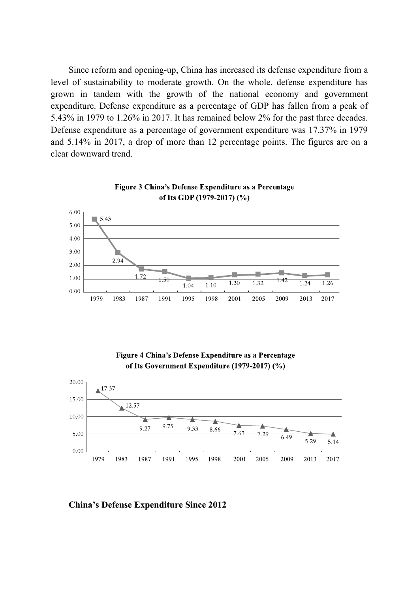Since reform and opening-up, China has increased its defense expenditure from a level of sustainability to moderate growth. On the whole, defense expenditure has grown in tandem with the growth of the national economy and government expenditure. Defense expenditure as a percentage of GDP has fallen from a peak of 5.43% in 1979 to 1.26% in 2017. It has remained below 2% for the past three decades. Defense expenditure as a percentage of government expenditure was 17.37% in 1979 and 5.14% in 2017, a drop of more than 12 percentage points. The figures are on a clear downward trend.





Figure 4 China's Defense Expenditure as a Percentage of Its Government Expenditure (1979-2017) (%)



**China's Defense Expenditure Since 2012**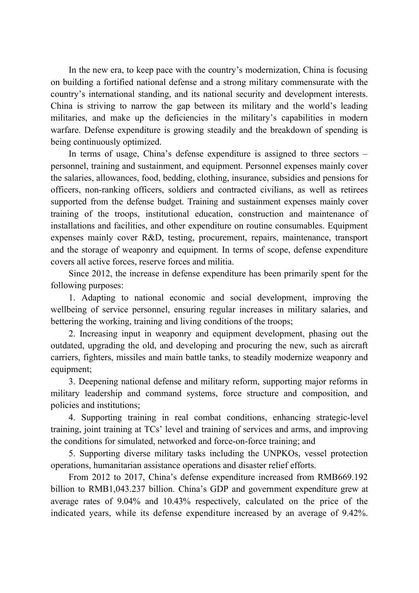In the new era, to keep pace with the country's modernization, China is focusing on building a fortified national defense and a strong military commensurate with the country's international standing, and its national security and development interests. China is striving to narrow the gap between its military and the world's leading militaries, and make up the deficiencies in the military's capabilities in modern warfare. Defense expenditure is growing steadily and the breakdown of spending is being continuously optimized.

In terms of usage, China's defense expenditure is assigned to three sectors – personnel, training and sustainment, and equipment. Personnel expenses mainly cover the salaries, allowances, food, bedding, clothing, insurance, subsidies and pensions for officers, non-ranking officers, soldiers and contracted civilians, as well as retirees supported from the defense budget. Training and sustainment expenses mainly cover training of the troops, institutional education, construction and maintenance of installations and facilities, and other expenditure on routine consumables. Equipment expenses mainly cover R&D, testing, procurement, repairs, maintenance, transport and the storage of weaponry and equipment. In terms of scope, defense expenditure covers all active forces, reserve forces and militia.

Since 2012, the increase in defense expenditure has been primarily spent for the following purposes:

1. Adapting to national economic and social development, improving the wellbeing of service personnel, ensuring regular increases in military salaries, and bettering the working, training and living conditions of the troops;

2. Increasing input in weaponry and equipment development, phasing out the outdated, upgrading the old, and developing and procuring the new, such as aircraft carriers, fighters, missiles and main battle tanks, to steadily modernize weaponry and equipment;

3. Deepening national defense and military reform, supporting major reforms in military leadership and command systems, force structure and composition, and policies and institutions;

4. Supporting training in real combat conditions, enhancing strategic-level training, joint training at TCs' level and training of services and arms, and improving the conditions for simulated, networked and force-on-force training; and

5. Supporting diverse military tasks including the UNPKOs, vessel protection operations, humanitarian assistance operations and disaster relief efforts.

From 2012 to 2017, China's defense expenditure increased from RMB669.192 billion to RMB1,043.237 billion. China's GDP and government expenditure grew at average rates of 9.04% and 10.43% respectively, calculated on the price of the indicated years, while its defense expenditure increased by an average of 9.42%.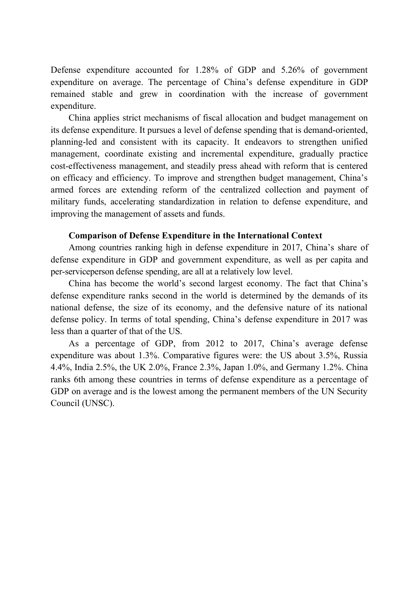Defense expenditure accounted for 1.28% of GDP and 5.26% of government expenditure on average. The percentage of China's defense expenditure in GDP remained stable and grew in coordination with the increase of government expenditure.

China applies strict mechanisms of fiscal allocation and budget management on its defense expenditure. It pursues a level of defense spending that is demand-oriented, planning-led and consistent with its capacity. It endeavors to strengthen unified management, coordinate existing and incremental expenditure, gradually practice cost-effectiveness management, and steadily press ahead with reform that is centered on efficacy and efficiency. To improve and strengthen budget management, China's armed forces are extending reform of the centralized collection and payment of military funds, accelerating standardization in relation to defense expenditure, and improving the management of assets and funds.

#### **Comparison of Defense Expenditure in the International Context**

Among countries ranking high in defense expenditure in 2017, China's share of defense expenditure in GDP and government expenditure, as well as per capita and per-serviceperson defense spending, are all at a relatively low level.

China has become the world's second largest economy. The fact that China's defense expenditure ranks second in the world is determined by the demands of its national defense, the size of its economy, and the defensive nature of its national defense policy. In terms of total spending, China's defense expenditure in 2017 was less than a quarter of that of the US.

As a percentage of GDP, from 2012 to 2017, China's average defense expenditure was about 1.3%. Comparative figures were: the US about 3.5%, Russia 4.4%, India 2.5%, the UK 2.0%, France 2.3%, Japan 1.0%, and Germany 1.2%. China ranks 6th among these countries in terms of defense expenditure as a percentage of GDP on average and is the lowest among the permanent members of the UN Security Council (UNSC).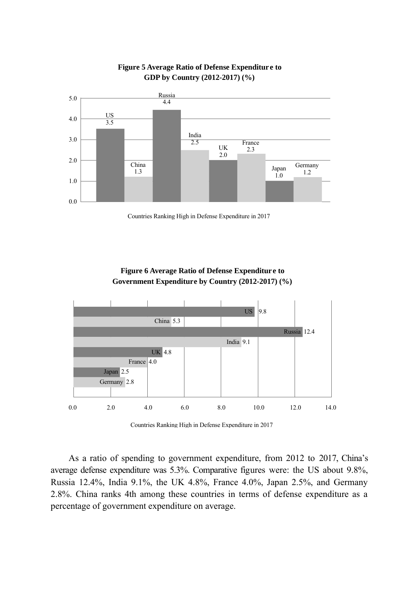



Countries Ranking High in Defense Expenditure in 2017

**Figure 6 Average Ratio of Defense Expenditur e to Government Expenditure by Country (2012-2017) (%)** 



Countries Ranking High in Defense Expenditure in 2017

As a ratio of spending to government expenditure, from 2012 to 2017, China's average defense expenditure was 5.3%. Comparative figures were: the US about 9.8%, Russia 12.4%, India 9.1%, the UK 4.8%, France 4.0%, Japan 2.5%, and Germany 2.8%. China ranks 4th among these countries in terms of defense expenditure as a percentage of government expenditure on average.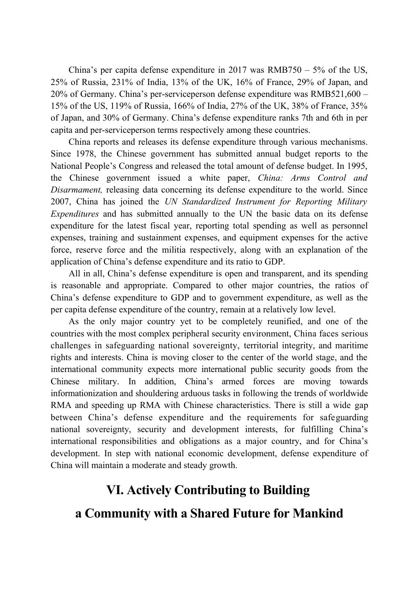China's per capita defense expenditure in 2017 was  $RMB750 - 5%$  of the US, 25% of Russia, 231% of India, 13% of the UK, 16% of France, 29% of Japan, and 20% of Germany. China's per-serviceperson defense expenditure was RMB521,600 – 15% of the US, 119% of Russia, 166% of India, 27% of the UK, 38% of France, 35% of Japan, and 30% of Germany. China's defense expenditure ranks 7th and 6th in per capita and per-serviceperson terms respectively among these countries.

China reports and releases its defense expenditure through various mechanisms. Since 1978, the Chinese government has submitted annual budget reports to the National People's Congress and released the total amount of defense budget. In 1995, the Chinese government issued a white paper, *China: Arms Control and Disarmament,* releasing data concerning its defense expenditure to the world. Since 2007, China has joined the *UN Standardized Instrument for Reporting Military Expenditures* and has submitted annually to the UN the basic data on its defense expenditure for the latest fiscal year, reporting total spending as well as personnel expenses, training and sustainment expenses, and equipment expenses for the active force, reserve force and the militia respectively, along with an explanation of the application of China's defense expenditure and its ratio to GDP.

All in all, China's defense expenditure is open and transparent, and its spending is reasonable and appropriate. Compared to other major countries, the ratios of China's defense expenditure to GDP and to government expenditure, as well as the per capita defense expenditure of the country, remain at a relatively low level.

As the only major country yet to be completely reunified, and one of the countries with the most complex peripheral security environment, China faces serious challenges in safeguarding national sovereignty, territorial integrity, and maritime rights and interests. China is moving closer to the center of the world stage, and the international community expects more international public security goods from the Chinese military. In addition, China's armed forces are moving towards informationization and shouldering arduous tasks in following the trends of worldwide RMA and speeding up RMA with Chinese characteristics. There is still a wide gap between China's defense expenditure and the requirements for safeguarding national sovereignty, security and development interests, for fulfilling China's international responsibilities and obligations as a major country, and for China's development. In step with national economic development, defense expenditure of China will maintain a moderate and steady growth.

## **VI. Actively Contributing to Building**

## **a Community with a Shared Future for Mankind**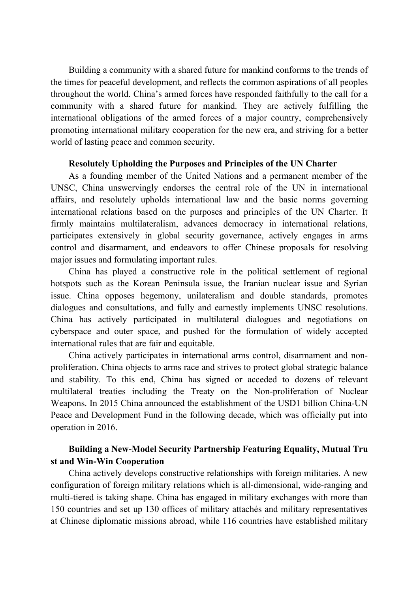Building a community with a shared future for mankind conforms to the trends of the times for peaceful development, and reflects the common aspirations of all peoples throughout the world. China's armed forces have responded faithfully to the call for a community with a shared future for mankind. They are actively fulfilling the international obligations of the armed forces of a major country, comprehensively promoting international military cooperation for the new era, and striving for a better world of lasting peace and common security.

#### **Resolutely Upholding the Purposes and Principles of the UN Charter**

As a founding member of the United Nations and a permanent member of the UNSC, China unswervingly endorses the central role of the UN in international affairs, and resolutely upholds international law and the basic norms governing international relations based on the purposes and principles of the UN Charter. It firmly maintains multilateralism, advances democracy in international relations, participates extensively in global security governance, actively engages in arms control and disarmament, and endeavors to offer Chinese proposals for resolving major issues and formulating important rules.

China has played a constructive role in the political settlement of regional hotspots such as the Korean Peninsula issue, the Iranian nuclear issue and Syrian issue. China opposes hegemony, unilateralism and double standards, promotes dialogues and consultations, and fully and earnestly implements UNSC resolutions. China has actively participated in multilateral dialogues and negotiations on cyberspace and outer space, and pushed for the formulation of widely accepted international rules that are fair and equitable.

China actively participates in international arms control, disarmament and nonproliferation. China objects to arms race and strives to protect global strategic balance and stability. To this end, China has signed or acceded to dozens of relevant multilateral treaties including the Treaty on the Non-proliferation of Nuclear Weapons. In 2015 China announced the establishment of the USD1 billion China-UN Peace and Development Fund in the following decade, which was officially put into operation in 2016.

#### **Building a New-Model Security Partnership Featuring Equality, Mutual Tru st and Win-Win Cooperation**

China actively develops constructive relationships with foreign militaries. A new configuration of foreign military relations which is all-dimensional, wide-ranging and multi-tiered is taking shape. China has engaged in military exchanges with more than 150 countries and set up 130 offices of military attachés and military representatives at Chinese diplomatic missions abroad, while 116 countries have established military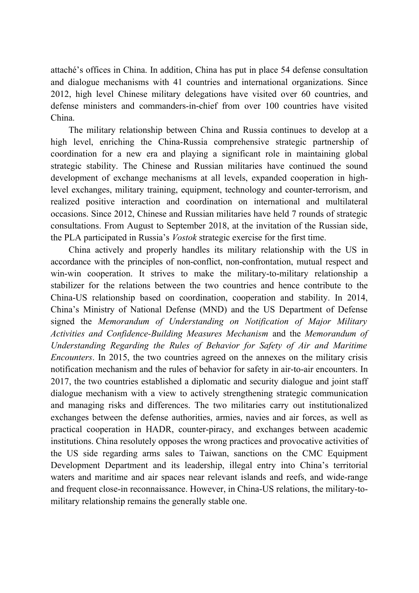attaché's offices in China. In addition, China has put in place 54 defense consultation and dialogue mechanisms with 41 countries and international organizations. Since 2012, high level Chinese military delegations have visited over 60 countries, and defense ministers and commanders-in-chief from over 100 countries have visited China.

The military relationship between China and Russia continues to develop at a high level, enriching the China-Russia comprehensive strategic partnership of coordination for a new era and playing a significant role in maintaining global strategic stability. The Chinese and Russian militaries have continued the sound development of exchange mechanisms at all levels, expanded cooperation in highlevel exchanges, military training, equipment, technology and counter-terrorism, and realized positive interaction and coordination on international and multilateral occasions. Since 2012, Chinese and Russian militaries have held 7 rounds of strategic consultations. From August to September 2018, at the invitation of the Russian side, the PLA participated in Russia's *Vostok* strategic exercise for the first time.

China actively and properly handles its military relationship with the US in accordance with the principles of non-conflict, non-confrontation, mutual respect and win-win cooperation. It strives to make the military-to-military relationship a stabilizer for the relations between the two countries and hence contribute to the China-US relationship based on coordination, cooperation and stability. In 2014, China's Ministry of National Defense (MND) and the US Department of Defense signed the *Memorandum of Understanding on Notification of Major Military Activities and Confidence-Building Measures Mechanism* and the *Memorandum of Understanding Regarding the Rules of Behavior for Safety of Air and Maritime Encounters*. In 2015, the two countries agreed on the annexes on the military crisis notification mechanism and the rules of behavior for safety in air-to-air encounters. In 2017, the two countries established a diplomatic and security dialogue and joint staff dialogue mechanism with a view to actively strengthening strategic communication and managing risks and differences. The two militaries carry out institutionalized exchanges between the defense authorities, armies, navies and air forces, as well as practical cooperation in HADR, counter-piracy, and exchanges between academic institutions. China resolutely opposes the wrong practices and provocative activities of the US side regarding arms sales to Taiwan, sanctions on the CMC Equipment Development Department and its leadership, illegal entry into China's territorial waters and maritime and air spaces near relevant islands and reefs, and wide-range and frequent close-in reconnaissance. However, in China-US relations, the military-tomilitary relationship remains the generally stable one.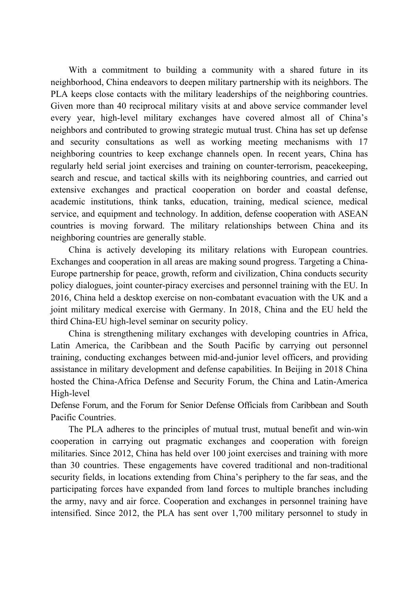With a commitment to building a community with a shared future in its neighborhood, China endeavors to deepen military partnership with its neighbors. The PLA keeps close contacts with the military leaderships of the neighboring countries. Given more than 40 reciprocal military visits at and above service commander level every year, high-level military exchanges have covered almost all of China's neighbors and contributed to growing strategic mutual trust. China has set up defense and security consultations as well as working meeting mechanisms with 17 neighboring countries to keep exchange channels open. In recent years, China has regularly held serial joint exercises and training on counter-terrorism, peacekeeping, search and rescue, and tactical skills with its neighboring countries, and carried out extensive exchanges and practical cooperation on border and coastal defense, academic institutions, think tanks, education, training, medical science, medical service, and equipment and technology. In addition, defense cooperation with ASEAN countries is moving forward. The military relationships between China and its neighboring countries are generally stable.

China is actively developing its military relations with European countries. Exchanges and cooperation in all areas are making sound progress. Targeting a China-Europe partnership for peace, growth, reform and civilization, China conducts security policy dialogues, joint counter-piracy exercises and personnel training with the EU. In 2016, China held a desktop exercise on non-combatant evacuation with the UK and a joint military medical exercise with Germany. In 2018, China and the EU held the third China-EU high-level seminar on security policy.

China is strengthening military exchanges with developing countries in Africa, Latin America, the Caribbean and the South Pacific by carrying out personnel training, conducting exchanges between mid-and-junior level officers, and providing assistance in military development and defense capabilities. In Beijing in 2018 China hosted the China-Africa Defense and Security Forum, the China and Latin-America High-level

Defense Forum, and the Forum for Senior Defense Officials from Caribbean and South Pacific Countries.

The PLA adheres to the principles of mutual trust, mutual benefit and win-win cooperation in carrying out pragmatic exchanges and cooperation with foreign militaries. Since 2012, China has held over 100 joint exercises and training with more than 30 countries. These engagements have covered traditional and non-traditional security fields, in locations extending from China's periphery to the far seas, and the participating forces have expanded from land forces to multiple branches including the army, navy and air force. Cooperation and exchanges in personnel training have intensified. Since 2012, the PLA has sent over 1,700 military personnel to study in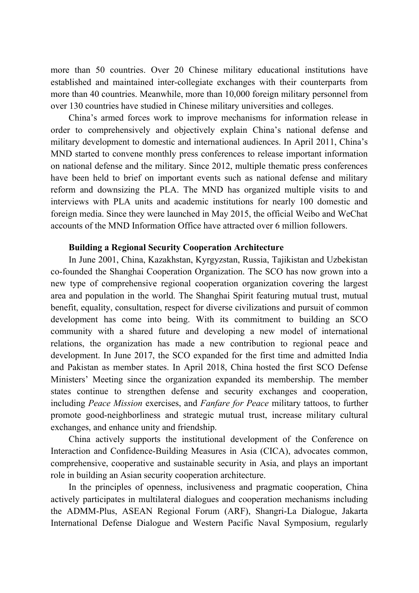more than 50 countries. Over 20 Chinese military educational institutions have established and maintained inter-collegiate exchanges with their counterparts from more than 40 countries. Meanwhile, more than 10,000 foreign military personnel from over 130 countries have studied in Chinese military universities and colleges.

China's armed forces work to improve mechanisms for information release in order to comprehensively and objectively explain China's national defense and military development to domestic and international audiences. In April 2011, China's MND started to convene monthly press conferences to release important information on national defense and the military. Since 2012, multiple thematic press conferences have been held to brief on important events such as national defense and military reform and downsizing the PLA. The MND has organized multiple visits to and interviews with PLA units and academic institutions for nearly 100 domestic and foreign media. Since they were launched in May 2015, the official Weibo and WeChat accounts of the MND Information Office have attracted over 6 million followers.

#### **Building a Regional Security Cooperation Architecture**

In June 2001, China, Kazakhstan, Kyrgyzstan, Russia, Tajikistan and Uzbekistan co-founded the Shanghai Cooperation Organization. The SCO has now grown into a new type of comprehensive regional cooperation organization covering the largest area and population in the world. The Shanghai Spirit featuring mutual trust, mutual benefit, equality, consultation, respect for diverse civilizations and pursuit of common development has come into being. With its commitment to building an SCO community with a shared future and developing a new model of international relations, the organization has made a new contribution to regional peace and development. In June 2017, the SCO expanded for the first time and admitted India and Pakistan as member states. In April 2018, China hosted the first SCO Defense Ministers' Meeting since the organization expanded its membership. The member states continue to strengthen defense and security exchanges and cooperation, including *Peace Mission* exercises, and *Fanfare for Peace* military tattoos, to further promote good-neighborliness and strategic mutual trust, increase military cultural exchanges, and enhance unity and friendship.

China actively supports the institutional development of the Conference on Interaction and Confidence-Building Measures in Asia (CICA), advocates common, comprehensive, cooperative and sustainable security in Asia, and plays an important role in building an Asian security cooperation architecture.

In the principles of openness, inclusiveness and pragmatic cooperation, China actively participates in multilateral dialogues and cooperation mechanisms including the ADMM-Plus, ASEAN Regional Forum (ARF), Shangri-La Dialogue, Jakarta International Defense Dialogue and Western Pacific Naval Symposium, regularly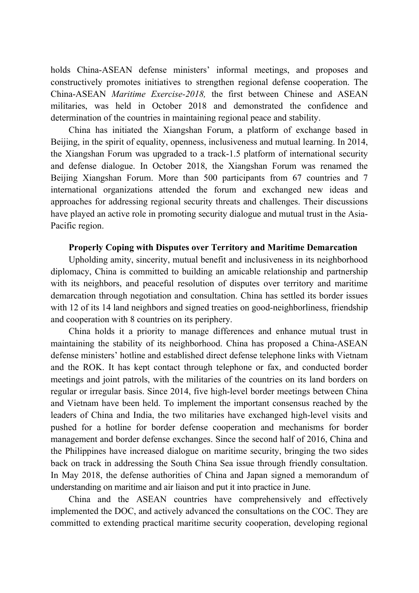holds China-ASEAN defense ministers' informal meetings, and proposes and constructively promotes initiatives to strengthen regional defense cooperation. The China-ASEAN *Maritime Exercise-2018,* the first between Chinese and ASEAN militaries, was held in October 2018 and demonstrated the confidence and determination of the countries in maintaining regional peace and stability.

China has initiated the Xiangshan Forum, a platform of exchange based in Beijing, in the spirit of equality, openness, inclusiveness and mutual learning. In 2014, the Xiangshan Forum was upgraded to a track-1.5 platform of international security and defense dialogue. In October 2018, the Xiangshan Forum was renamed the Beijing Xiangshan Forum. More than 500 participants from 67 countries and 7 international organizations attended the forum and exchanged new ideas and approaches for addressing regional security threats and challenges. Their discussions have played an active role in promoting security dialogue and mutual trust in the Asia-Pacific region.

#### **Properly Coping with Disputes over Territory and Maritime Demarcation**

Upholding amity, sincerity, mutual benefit and inclusiveness in its neighborhood diplomacy, China is committed to building an amicable relationship and partnership with its neighbors, and peaceful resolution of disputes over territory and maritime demarcation through negotiation and consultation. China has settled its border issues with 12 of its 14 land neighbors and signed treaties on good-neighborliness, friendship and cooperation with 8 countries on its periphery.

China holds it a priority to manage differences and enhance mutual trust in maintaining the stability of its neighborhood. China has proposed a China-ASEAN defense ministers' hotline and established direct defense telephone links with Vietnam and the ROK. It has kept contact through telephone or fax, and conducted border meetings and joint patrols, with the militaries of the countries on its land borders on regular or irregular basis. Since 2014, five high-level border meetings between China and Vietnam have been held. To implement the important consensus reached by the leaders of China and India, the two militaries have exchanged high-level visits and pushed for a hotline for border defense cooperation and mechanisms for border management and border defense exchanges. Since the second half of 2016, China and the Philippines have increased dialogue on maritime security, bringing the two sides back on track in addressing the South China Sea issue through friendly consultation. In May 2018, the defense authorities of China and Japan signed a memorandum of understanding on maritime and air liaison and put it into practice in June.

China and the ASEAN countries have comprehensively and effectively implemented the DOC, and actively advanced the consultations on the COC. They are committed to extending practical maritime security cooperation, developing regional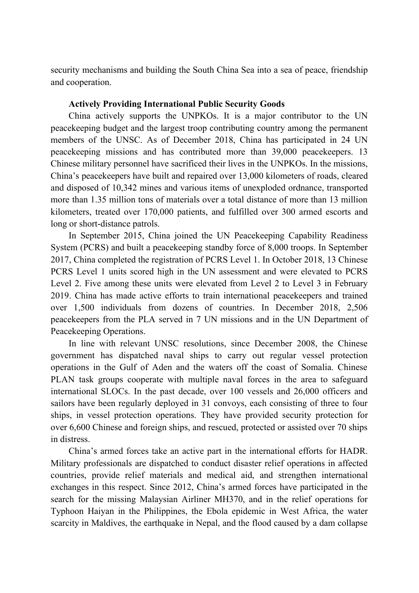security mechanisms and building the South China Sea into a sea of peace, friendship and cooperation.

#### **Actively Providing International Public Security Goods**

China actively supports the UNPKOs. It is a major contributor to the UN peacekeeping budget and the largest troop contributing country among the permanent members of the UNSC. As of December 2018, China has participated in 24 UN peacekeeping missions and has contributed more than 39,000 peacekeepers. 13 Chinese military personnel have sacrificed their lives in the UNPKOs. In the missions, China's peacekeepers have built and repaired over 13,000 kilometers of roads, cleared and disposed of 10,342 mines and various items of unexploded ordnance, transported more than 1.35 million tons of materials over a total distance of more than 13 million kilometers, treated over 170,000 patients, and fulfilled over 300 armed escorts and long or short-distance patrols.

In September 2015, China joined the UN Peacekeeping Capability Readiness System (PCRS) and built a peacekeeping standby force of 8,000 troops. In September 2017, China completed the registration of PCRS Level 1. In October 2018, 13 Chinese PCRS Level 1 units scored high in the UN assessment and were elevated to PCRS Level 2. Five among these units were elevated from Level 2 to Level 3 in February 2019. China has made active efforts to train international peacekeepers and trained over 1,500 individuals from dozens of countries. In December 2018, 2,506 peacekeepers from the PLA served in 7 UN missions and in the UN Department of Peacekeeping Operations.

In line with relevant UNSC resolutions, since December 2008, the Chinese government has dispatched naval ships to carry out regular vessel protection operations in the Gulf of Aden and the waters off the coast of Somalia. Chinese PLAN task groups cooperate with multiple naval forces in the area to safeguard international SLOCs. In the past decade, over 100 vessels and 26,000 officers and sailors have been regularly deployed in 31 convoys, each consisting of three to four ships, in vessel protection operations. They have provided security protection for over 6,600 Chinese and foreign ships, and rescued, protected or assisted over 70 ships in distress.

China's armed forces take an active part in the international efforts for HADR. Military professionals are dispatched to conduct disaster relief operations in affected countries, provide relief materials and medical aid, and strengthen international exchanges in this respect. Since 2012, China's armed forces have participated in the search for the missing Malaysian Airliner MH370, and in the relief operations for Typhoon Haiyan in the Philippines, the Ebola epidemic in West Africa, the water scarcity in Maldives, the earthquake in Nepal, and the flood caused by a dam collapse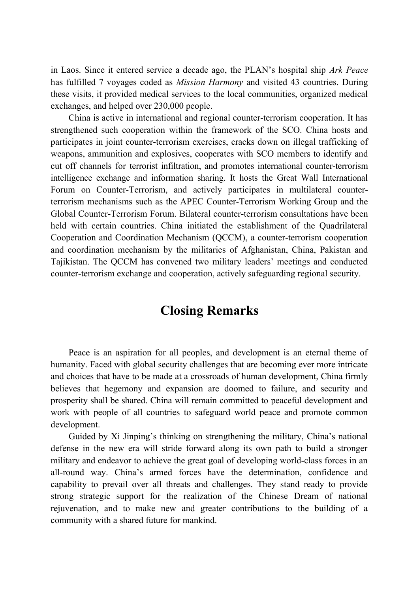in Laos. Since it entered service a decade ago, the PLAN's hospital ship *Ark Peace* has fulfilled 7 voyages coded as *Mission Harmony* and visited 43 countries. During these visits, it provided medical services to the local communities, organized medical exchanges, and helped over 230,000 people.

China is active in international and regional counter-terrorism cooperation. It has strengthened such cooperation within the framework of the SCO. China hosts and participates in joint counter-terrorism exercises, cracks down on illegal trafficking of weapons, ammunition and explosives, cooperates with SCO members to identify and cut off channels for terrorist infiltration, and promotes international counter-terrorism intelligence exchange and information sharing. It hosts the Great Wall International Forum on Counter-Terrorism, and actively participates in multilateral counterterrorism mechanisms such as the APEC Counter-Terrorism Working Group and the Global Counter-Terrorism Forum. Bilateral counter-terrorism consultations have been held with certain countries. China initiated the establishment of the Quadrilateral Cooperation and Coordination Mechanism (QCCM), a counter-terrorism cooperation and coordination mechanism by the militaries of Afghanistan, China, Pakistan and Tajikistan. The QCCM has convened two military leaders' meetings and conducted counter-terrorism exchange and cooperation, actively safeguarding regional security.

## **Closing Remarks**

Peace is an aspiration for all peoples, and development is an eternal theme of humanity. Faced with global security challenges that are becoming ever more intricate and choices that have to be made at a crossroads of human development, China firmly believes that hegemony and expansion are doomed to failure, and security and prosperity shall be shared. China will remain committed to peaceful development and work with people of all countries to safeguard world peace and promote common development.

Guided by Xi Jinping's thinking on strengthening the military, China's national defense in the new era will stride forward along its own path to build a stronger military and endeavor to achieve the great goal of developing world-class forces in an all-round way. China's armed forces have the determination, confidence and capability to prevail over all threats and challenges. They stand ready to provide strong strategic support for the realization of the Chinese Dream of national rejuvenation, and to make new and greater contributions to the building of a community with a shared future for mankind.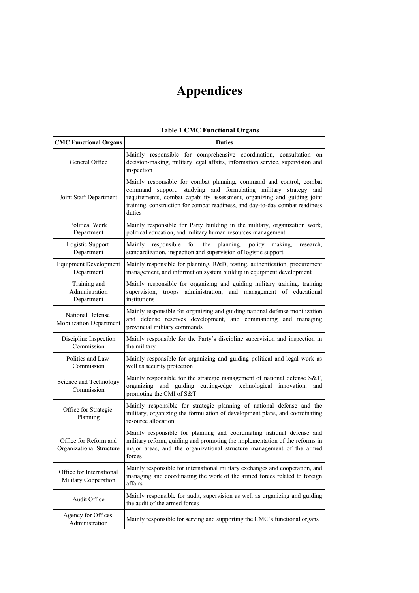## **Appendices**

#### **Table 1 CMC Functional Organs**

| <b>CMC Functional Organs</b>                      | <b>Duties</b>                                                                                                                                                                                                                                                                                                   |
|---------------------------------------------------|-----------------------------------------------------------------------------------------------------------------------------------------------------------------------------------------------------------------------------------------------------------------------------------------------------------------|
| General Office                                    | Mainly responsible for comprehensive coordination, consultation on<br>decision-making, military legal affairs, information service, supervision and<br>inspection                                                                                                                                               |
| Joint Staff Department                            | Mainly responsible for combat planning, command and control, combat<br>studying and formulating military strategy and<br>command support,<br>requirements, combat capability assessment, organizing and guiding joint<br>training, construction for combat readiness, and day-to-day combat readiness<br>duties |
| Political Work<br>Department                      | Mainly responsible for Party building in the military, organization work,<br>political education, and military human resources management                                                                                                                                                                       |
| Logistic Support<br>Department                    | for<br>Mainly<br>responsible<br>the<br>planning,<br>policy<br>making,<br>research,<br>standardization, inspection and supervision of logistic support                                                                                                                                                           |
| <b>Equipment Development</b><br>Department        | Mainly responsible for planning, R&D, testing, authentication, procurement<br>management, and information system buildup in equipment development                                                                                                                                                               |
| Training and<br>Administration<br>Department      | Mainly responsible for organizing and guiding military training, training<br>supervision, troops administration, and management of educational<br>institutions                                                                                                                                                  |
| National Defense<br>Mobilization Department       | Mainly responsible for organizing and guiding national defense mobilization<br>and defense reserves development, and commanding and managing<br>provincial military commands                                                                                                                                    |
| Discipline Inspection<br>Commission               | Mainly responsible for the Party's discipline supervision and inspection in<br>the military                                                                                                                                                                                                                     |
| Politics and Law<br>Commission                    | Mainly responsible for organizing and guiding political and legal work as<br>well as security protection                                                                                                                                                                                                        |
| Science and Technology<br>Commission              | Mainly responsible for the strategic management of national defense S&T,<br>organizing and guiding cutting-edge technological innovation,<br>and<br>promoting the CMI of S&T                                                                                                                                    |
| Office for Strategic<br>Planning                  | Mainly responsible for strategic planning of national defense and the<br>military, organizing the formulation of development plans, and coordinating<br>resource allocation                                                                                                                                     |
| Office for Reform and<br>Organizational Structure | Mainly responsible for planning and coordinating national defense and<br>military reform, guiding and promoting the implementation of the reforms in<br>major areas, and the organizational structure management of the armed<br>forces                                                                         |
| Office for International<br>Military Cooperation  | Mainly responsible for international military exchanges and cooperation, and<br>managing and coordinating the work of the armed forces related to foreign<br>affairs                                                                                                                                            |
| Audit Office                                      | Mainly responsible for audit, supervision as well as organizing and guiding<br>the audit of the armed forces                                                                                                                                                                                                    |
| Agency for Offices<br>Administration              | Mainly responsible for serving and supporting the CMC's functional organs                                                                                                                                                                                                                                       |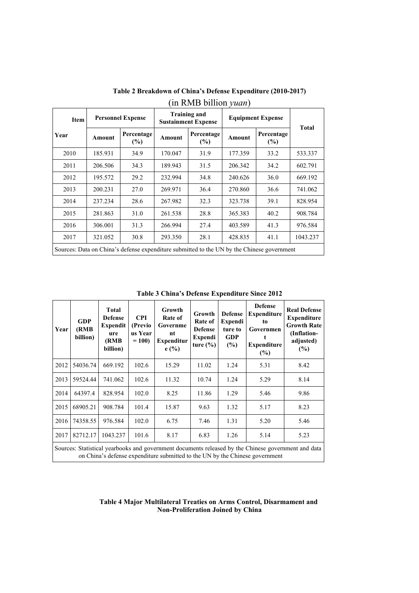| $\cdots$    |                          |                                                                                            |                                                   |                   |                          |                      |              |
|-------------|--------------------------|--------------------------------------------------------------------------------------------|---------------------------------------------------|-------------------|--------------------------|----------------------|--------------|
| <b>Item</b> | <b>Personnel Expense</b> |                                                                                            | <b>Training and</b><br><b>Sustainment Expense</b> |                   | <b>Equipment Expense</b> |                      |              |
| Year        | <b>Amount</b>            | Percentage<br>$(\%)$                                                                       | Amount                                            | Percentage<br>(%) | <b>Amount</b>            | Percentage<br>$(\%)$ | <b>Total</b> |
| 2010        | 185.931                  | 34.9                                                                                       | 170.047                                           | 31.9              | 177.359                  | 33.2                 | 533.337      |
| 2011        | 206.506                  | 34.3                                                                                       | 189.943                                           | 31.5              | 206.342                  | 34.2                 | 602.791      |
| 2012        | 195.572                  | 29.2                                                                                       | 232.994                                           | 34.8              | 240.626                  | 36.0                 | 669.192      |
| 2013        | 200.231                  | 27.0                                                                                       | 269.971                                           | 36.4              | 270.860                  | 36.6                 | 741.062      |
| 2014        | 237.234                  | 28.6                                                                                       | 267.982                                           | 32.3              | 323.738                  | 39.1                 | 828.954      |
| 2015        | 281.863                  | 31.0                                                                                       | 261.538                                           | 28.8              | 365.383                  | 40.2                 | 908.784      |
| 2016        | 306.001                  | 31.3                                                                                       | 266.994                                           | 27.4              | 403.589                  | 41.3                 | 976.584      |
| 2017        | 321.052                  | 30.8                                                                                       | 293.350                                           | 28.1              | 428.835                  | 41.1                 | 1043.237     |
|             |                          | Sources: Data on China's defense expenditure submitted to the UN by the Chinese government |                                                   |                   |                          |                      |              |

**Table 2 Breakdown of China's Defense Expenditure (2010-2017)** (in RMB billion *yuan*)

**Table 3 China's Defense Expenditure Since 2012**

| Year                                                                                                                                                                                | GDP<br>(RMB)<br>billion) | <b>Total</b><br><b>Defense</b><br>Expendit<br>ure<br>(RMB)<br>billion) | <b>CPI</b><br>(Previo)<br>us Year<br>$= 100$ | Growth<br>Rate of<br>Governme<br>nt<br><b>Expenditur</b><br>e(%) | Growth<br>Rate of<br><b>Defense</b><br>Expendi<br>ture $(\% )$ | <b>Defense</b><br><b>Expendi</b><br>ture to<br><b>GDP</b><br>(%) | <b>Defense</b><br><b>Expenditure</b><br>to<br>Governmen<br><b>Expenditure</b><br>$(\%)$ | <b>Real Defense</b><br><b>Expenditure</b><br><b>Growth Rate</b><br>(Inflation-<br>adjusted)<br>$(\%)$ |
|-------------------------------------------------------------------------------------------------------------------------------------------------------------------------------------|--------------------------|------------------------------------------------------------------------|----------------------------------------------|------------------------------------------------------------------|----------------------------------------------------------------|------------------------------------------------------------------|-----------------------------------------------------------------------------------------|-------------------------------------------------------------------------------------------------------|
| 2012                                                                                                                                                                                | 54036.74                 | 669.192                                                                | 102.6                                        | 15.29                                                            | 11.02                                                          | 1.24                                                             | 5.31                                                                                    | 8.42                                                                                                  |
| 2013                                                                                                                                                                                | 59524.44                 | 741.062                                                                | 102.6                                        | 11.32                                                            | 10.74                                                          | 1.24                                                             | 5.29                                                                                    | 8.14                                                                                                  |
| 2014                                                                                                                                                                                | 64397.4                  | 828.954                                                                | 102.0                                        | 8.25                                                             | 11.86                                                          | 1.29                                                             | 5.46                                                                                    | 9.86                                                                                                  |
| 2015                                                                                                                                                                                | 68905.21                 | 908.784                                                                | 101.4                                        | 15.87                                                            | 9.63                                                           | 1.32                                                             | 5.17                                                                                    | 8.23                                                                                                  |
| 2016                                                                                                                                                                                | 74358.55                 | 976.584                                                                | 102.0                                        | 6.75                                                             | 7.46                                                           | 1.31                                                             | 5.20                                                                                    | 5.46                                                                                                  |
| 2017                                                                                                                                                                                | 82712.17                 | 1043.237                                                               | 101.6                                        | 8.17                                                             | 6.83                                                           | 1.26                                                             | 5.14                                                                                    | 5.23                                                                                                  |
| Sources: Statistical yearbooks and government documents released by the Chinese government and data<br>on China's defense expenditure submitted to the UN by the Chinese government |                          |                                                                        |                                              |                                                                  |                                                                |                                                                  |                                                                                         |                                                                                                       |

#### **Table 4 Major Multilateral Treaties on Arms Control, Disarmament and Non-Proliferation Joined by China**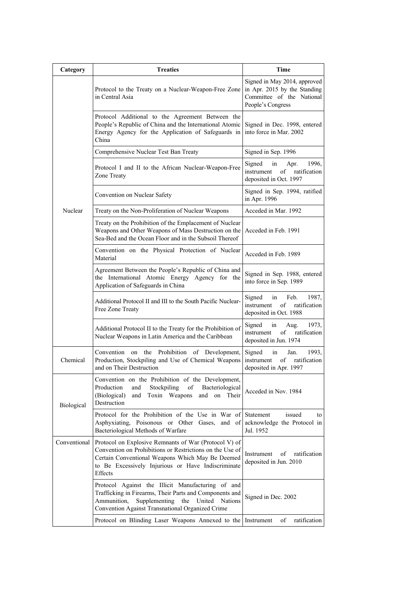| Category     | <b>Treaties</b>                                                                                                                                                                                                                        | Time                                                                                                           |
|--------------|----------------------------------------------------------------------------------------------------------------------------------------------------------------------------------------------------------------------------------------|----------------------------------------------------------------------------------------------------------------|
|              | Protocol to the Treaty on a Nuclear-Weapon-Free Zone<br>in Central Asia                                                                                                                                                                | Signed in May 2014, approved<br>in Apr. 2015 by the Standing<br>Committee of the National<br>People's Congress |
|              | Protocol Additional to the Agreement Between the<br>People's Republic of China and the International Atomic<br>Energy Agency for the Application of Safeguards in<br>China                                                             | Signed in Dec. 1998, entered<br>into force in Mar. 2002                                                        |
|              | Comprehensive Nuclear Test Ban Treaty                                                                                                                                                                                                  | Signed in Sep. 1996                                                                                            |
|              | Protocol I and II to the African Nuclear-Weapon-Free<br>Zone Treaty                                                                                                                                                                    | Signed<br>1996,<br>in<br>Apr.<br>instrument<br>of<br>ratification<br>deposited in Oct. 1997                    |
|              | Convention on Nuclear Safety                                                                                                                                                                                                           | Signed in Sep. 1994, ratified<br>in Apr. 1996                                                                  |
| Nuclear      | Treaty on the Non-Proliferation of Nuclear Weapons                                                                                                                                                                                     | Acceded in Mar. 1992                                                                                           |
|              | Treaty on the Prohibition of the Emplacement of Nuclear<br>Weapons and Other Weapons of Mass Destruction on the<br>Sea-Bed and the Ocean Floor and in the Subsoil Thereof                                                              | Acceded in Feb. 1991                                                                                           |
|              | Convention on the Physical Protection of Nuclear<br>Material                                                                                                                                                                           | Acceded in Feb. 1989                                                                                           |
|              | Agreement Between the People's Republic of China and<br>the International Atomic Energy Agency for the<br>Application of Safeguards in China                                                                                           | Signed in Sep. 1988, entered<br>into force in Sep. 1989                                                        |
|              | Additional Protocol II and III to the South Pacific Nuclear-<br>Free Zone Treaty                                                                                                                                                       | Signed<br>in<br>Feb.<br>1987,<br>instrument<br>$\sigma$ f<br>ratification<br>deposited in Oct. 1988            |
|              | Additional Protocol II to the Treaty for the Prohibition of<br>Nuclear Weapons in Latin America and the Caribbean                                                                                                                      | Signed<br>in<br>Aug.<br>1973,<br>instrument<br>ratification<br>of<br>deposited in Jun. 1974                    |
| Chemical     | Convention on the Prohibition of Development,<br>Production, Stockpiling and Use of Chemical Weapons<br>and on Their Destruction                                                                                                       | Signed<br>1993,<br>in<br>Jan.<br>instrument<br>of<br>ratification<br>deposited in Apr. 1997                    |
| Biological   | Convention on the Prohibition of the Development,<br>Stockpiling<br>Production<br>of<br>Bacteriological<br>and<br>(Biological)<br>Toxin Weapons<br>and<br>and<br>on<br>Their<br>Destruction                                            | Acceded in Nov. 1984                                                                                           |
|              | Protocol for the Prohibition of the Use in War of<br>Asphyxiating, Poisonous or Other Gases,<br>and of<br>Bacteriological Methods of Warfare                                                                                           | Statement<br>issued<br>to<br>acknowledge the Protocol in<br>Jul. 1952                                          |
| Conventional | Protocol on Explosive Remnants of War (Protocol V) of<br>Convention on Prohibitions or Restrictions on the Use of<br>Certain Conventional Weapons Which May Be Deemed<br>to Be Excessively Injurious or Have Indiscriminate<br>Effects | of<br>ratification<br>Instrument<br>deposited in Jun. 2010                                                     |
|              | Protocol Against the Illicit Manufacturing of and<br>Trafficking in Firearms, Their Parts and Components and<br>Ammunition,<br>Supplementing the United<br><b>Nations</b><br>Convention Against Transnational Organized Crime          | Signed in Dec. 2002                                                                                            |
|              | Protocol on Blinding Laser Weapons Annexed to the Instrument                                                                                                                                                                           | ratification<br>of                                                                                             |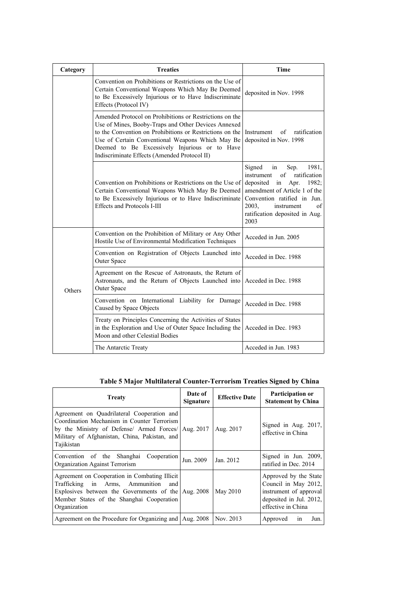| Category | <b>Treaties</b>                                                                                                                                                                                                                                                                                                                 | Time                                                                                                                                                                                                                                                 |
|----------|---------------------------------------------------------------------------------------------------------------------------------------------------------------------------------------------------------------------------------------------------------------------------------------------------------------------------------|------------------------------------------------------------------------------------------------------------------------------------------------------------------------------------------------------------------------------------------------------|
|          | Convention on Prohibitions or Restrictions on the Use of<br>Certain Conventional Weapons Which May Be Deemed<br>to Be Excessively Injurious or to Have Indiscriminate<br>Effects (Protocol IV)                                                                                                                                  | deposited in Nov. 1998                                                                                                                                                                                                                               |
|          | Amended Protocol on Prohibitions or Restrictions on the<br>Use of Mines, Booby-Traps and Other Devices Annexed<br>to the Convention on Prohibitions or Restrictions on the<br>Use of Certain Conventional Weapons Which May Be<br>Deemed to Be Excessively Injurious or to Have<br>Indiscriminate Effects (Amended Protocol II) | ratification<br>Instrument<br>of<br>deposited in Nov. 1998                                                                                                                                                                                           |
|          | Convention on Prohibitions or Restrictions on the Use of<br>Certain Conventional Weapons Which May Be Deemed<br>to Be Excessively Injurious or to Have Indiscriminate<br>Effects and Protocols I-III                                                                                                                            | Signed<br>Sep.<br>1981,<br>in<br>of<br>ratification<br>instrument<br>in<br>deposited<br>Apr.<br>1982;<br>amendment of Article 1 of the<br>Convention ratified in Jun.<br>2003.<br>$\sigma$ f<br>instrument<br>ratification deposited in Aug.<br>2003 |
|          | Convention on the Prohibition of Military or Any Other<br>Hostile Use of Environmental Modification Techniques                                                                                                                                                                                                                  | Acceded in Jun. 2005                                                                                                                                                                                                                                 |
|          | Convention on Registration of Objects Launched into<br>Outer Space                                                                                                                                                                                                                                                              | Acceded in Dec. 1988                                                                                                                                                                                                                                 |
| Others   | Agreement on the Rescue of Astronauts, the Return of<br>Astronauts, and the Return of Objects Launched into<br>Outer Space                                                                                                                                                                                                      | Acceded in Dec. 1988                                                                                                                                                                                                                                 |
|          | Convention on International Liability for Damage<br>Caused by Space Objects                                                                                                                                                                                                                                                     | Acceded in Dec. 1988                                                                                                                                                                                                                                 |
|          | Treaty on Principles Concerning the Activities of States<br>in the Exploration and Use of Outer Space Including the<br>Moon and other Celestial Bodies                                                                                                                                                                          | Acceded in Dec. 1983                                                                                                                                                                                                                                 |
|          | The Antarctic Treaty                                                                                                                                                                                                                                                                                                            | Acceded in Jun. 1983                                                                                                                                                                                                                                 |

**Table 5 Major Multilateral Counter-Terrorism Treaties Signed by China** 

| <b>Treaty</b>                                                                                                                                                                                                   | Date of<br>Signature | <b>Effective Date</b> | Participation or<br><b>Statement by China</b>                                                                            |
|-----------------------------------------------------------------------------------------------------------------------------------------------------------------------------------------------------------------|----------------------|-----------------------|--------------------------------------------------------------------------------------------------------------------------|
| Agreement on Quadrilateral Cooperation and<br>Coordination Mechanism in Counter Terrorism<br>by the Ministry of Defense/ Armed Forces/ Aug. 2017<br>Military of Afghanistan, China, Pakistan, and<br>Tajikistan |                      | Aug. 2017             | Signed in Aug. 2017,<br>effective in China                                                                               |
| Convention of the Shanghai Cooperation<br>Organization Against Terrorism                                                                                                                                        | Jun. 2009            | Jan. 2012             | Signed in Jun. 2009,<br>ratified in Dec. 2014                                                                            |
| Agreement on Cooperation in Combating Illicit<br>Trafficking in Arms, Ammunition<br>and<br>Explosives between the Governments of the Aug. 2008<br>Member States of the Shanghai Cooperation<br>Organization     |                      | May 2010              | Approved by the State<br>Council in May 2012,<br>instrument of approval<br>deposited in Jul. 2012,<br>effective in China |
| Agreement on the Procedure for Organizing and Aug. 2008                                                                                                                                                         |                      | Nov. 2013             | Jun.<br>Approved<br>1n                                                                                                   |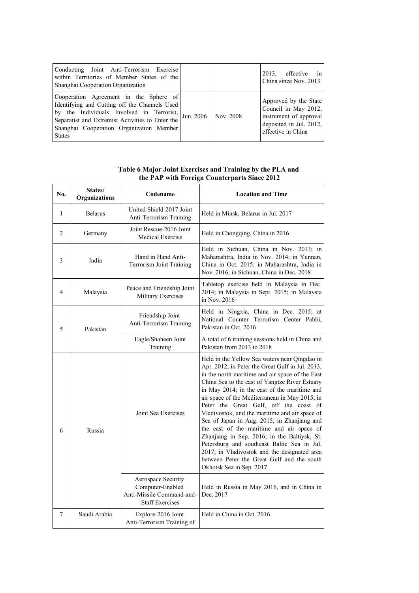| Conducting Joint Anti-Terrorism Exercise<br>within Territories of Member States of the<br>Shanghai Cooperation Organization                                                                                                                           |           |           | in<br>effective<br>2013.<br>China since Nov. 2013                                                                        |
|-------------------------------------------------------------------------------------------------------------------------------------------------------------------------------------------------------------------------------------------------------|-----------|-----------|--------------------------------------------------------------------------------------------------------------------------|
| Cooperation Agreement in the Sphere of<br>Identifying and Cutting off the Channels Used<br>by the Individuals Involved in Terrorist,<br>Separatist and Extremist Activities to Enter the<br>Shanghai Cooperation Organization Member<br><b>States</b> | Jun. 2006 | Nov. 2008 | Approved by the State<br>Council in May 2012,<br>instrument of approval<br>deposited in Jul. 2012,<br>effective in China |

**Table 6 Major Joint Exercises and Training by the PLA and the PAP with Foreign Counterparts Since 2012**

| No.           | States/<br><b>Organizations</b> | Codename                                                                                      | <b>Location and Time</b>                                                                                                                                                                                                                                                                                                                                                                                                                                                                                                                                                                                                                                                                                                  |
|---------------|---------------------------------|-----------------------------------------------------------------------------------------------|---------------------------------------------------------------------------------------------------------------------------------------------------------------------------------------------------------------------------------------------------------------------------------------------------------------------------------------------------------------------------------------------------------------------------------------------------------------------------------------------------------------------------------------------------------------------------------------------------------------------------------------------------------------------------------------------------------------------------|
| 1             | <b>Belarus</b>                  | United Shield-2017 Joint<br>Anti-Terrorism Training                                           | Held in Minsk, Belarus in Jul. 2017                                                                                                                                                                                                                                                                                                                                                                                                                                                                                                                                                                                                                                                                                       |
| 2             | Germany                         | Joint Rescue-2016 Joint<br><b>Medical Exercise</b>                                            | Held in Chongqing, China in 2016                                                                                                                                                                                                                                                                                                                                                                                                                                                                                                                                                                                                                                                                                          |
| 3             | India                           | Hand in Hand Anti-<br><b>Terrorism Joint Training</b>                                         | Held in Sichuan, China in Nov. 2013; in<br>Maharashtra, India in Nov. 2014; in Yunnan,<br>China in Oct. 2015; in Maharashtra, India in<br>Nov. 2016; in Sichuan, China in Dec. 2018                                                                                                                                                                                                                                                                                                                                                                                                                                                                                                                                       |
| 4             | Malaysia                        | Peace and Friendship Joint<br>Military Exercises                                              | Tabletop exercise held in Malaysia in Dec.<br>2014; in Malaysia in Sept. 2015; in Malaysia<br>in Nov. 2016                                                                                                                                                                                                                                                                                                                                                                                                                                                                                                                                                                                                                |
| 5<br>Pakistan |                                 | Friendship Joint<br>Anti-Terrorism Training                                                   | Held in Ningxia, China in Dec. 2015; at<br>National Counter Terrorism Center Pabbi,<br>Pakistan in Oct. 2016                                                                                                                                                                                                                                                                                                                                                                                                                                                                                                                                                                                                              |
|               |                                 | Eagle/Shaheen Joint<br>Training                                                               | A total of 6 training sessions held in China and<br>Pakistan from 2013 to 2018                                                                                                                                                                                                                                                                                                                                                                                                                                                                                                                                                                                                                                            |
| 6             | Russia                          | Joint Sea Exercises                                                                           | Held in the Yellow Sea waters near Qingdao in<br>Apr. 2012; in Peter the Great Gulf in Jul. 2013;<br>in the north maritime and air space of the East<br>China Sea to the east of Yangtze River Estuary<br>in May 2014; in the east of the maritime and<br>air space of the Mediterranean in May 2015; in<br>Peter the Great Gulf, off the coast of<br>Vladivostok, and the maritime and air space of<br>Sea of Japan in Aug. 2015; in Zhanjiang and<br>the east of the maritime and air space of<br>Zhanjiang in Sep. 2016; in the Baltiysk, St.<br>Petersburg and southeast Baltic Sea in Jul.<br>2017; in Vladivostok and the designated area<br>between Peter the Great Gulf and the south<br>Okhotsk Sea in Sep. 2017 |
|               |                                 | Aerospace Security<br>Computer-Enabled<br>Anti-Missile Command-and-<br><b>Staff Exercises</b> | Held in Russia in May 2016, and in China in<br>Dec. 2017                                                                                                                                                                                                                                                                                                                                                                                                                                                                                                                                                                                                                                                                  |
| 7             | Saudi Arabia                    | Explore-2016 Joint<br>Anti-Terrorism Training of                                              | Held in China in Oct. 2016                                                                                                                                                                                                                                                                                                                                                                                                                                                                                                                                                                                                                                                                                                |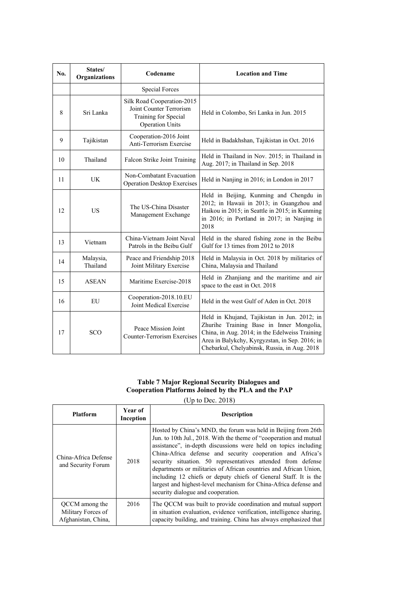| No. | States/<br>Organizations | Codename                                                                                                | <b>Location and Time</b>                                                                                                                                                                                                                     |
|-----|--------------------------|---------------------------------------------------------------------------------------------------------|----------------------------------------------------------------------------------------------------------------------------------------------------------------------------------------------------------------------------------------------|
|     |                          | <b>Special Forces</b>                                                                                   |                                                                                                                                                                                                                                              |
| 8   | Sri Lanka                | Silk Road Cooperation-2015<br>Joint Counter Terrorism<br>Training for Special<br><b>Operation Units</b> | Held in Colombo, Sri Lanka in Jun. 2015                                                                                                                                                                                                      |
| 9   | Tajikistan               | Cooperation-2016 Joint<br>Anti-Terrorism Exercise                                                       | Held in Badakhshan, Tajikistan in Oct. 2016                                                                                                                                                                                                  |
| 10  | Thailand                 | Falcon Strike Joint Training                                                                            | Held in Thailand in Nov. 2015; in Thailand in<br>Aug. 2017; in Thailand in Sep. 2018                                                                                                                                                         |
| 11  | UK                       | Non-Combatant Evacuation<br><b>Operation Desktop Exercises</b>                                          | Held in Nanjing in 2016; in London in 2017                                                                                                                                                                                                   |
| 12  | <b>US</b>                | The US-China Disaster<br>Management Exchange                                                            | Held in Beijing, Kunming and Chengdu in<br>2012; in Hawaii in 2013; in Guangzhou and<br>Haikou in 2015; in Seattle in 2015; in Kunming<br>in 2016; in Portland in 2017; in Nanjing in<br>2018                                                |
| 13  | Vietnam                  | China-Vietnam Joint Naval<br>Patrols in the Beibu Gulf                                                  | Held in the shared fishing zone in the Beibu<br>Gulf for 13 times from 2012 to 2018                                                                                                                                                          |
| 14  | Malaysia,<br>Thailand    | Peace and Friendship 2018<br>Joint Military Exercise                                                    | Held in Malaysia in Oct. 2018 by militaries of<br>China, Malaysia and Thailand                                                                                                                                                               |
| 15  | <b>ASEAN</b>             | Maritime Exercise-2018                                                                                  | Held in Zhanjiang and the maritime and air<br>space to the east in Oct. 2018                                                                                                                                                                 |
| 16  | EU                       | Cooperation-2018.10.EU<br>Joint Medical Exercise                                                        | Held in the west Gulf of Aden in Oct. 2018                                                                                                                                                                                                   |
| 17  | SCO                      | Peace Mission Joint<br><b>Counter-Terrorism Exercises</b>                                               | Held in Khujand, Tajikistan in Jun. 2012; in<br>Zhurihe Training Base in Inner Mongolia,<br>China, in Aug. 2014; in the Edelweiss Training<br>Area in Balykchy, Kyrgyzstan, in Sep. 2016; in<br>Chebarkul, Chelyabinsk, Russia, in Aug. 2018 |

#### **Table 7 Major Regional Security Dialogues and Cooperation Platforms Joined by the PLA and the PAP**

(Up to Dec. 2018)

| <b>Platform</b>                                             | Year of<br>Inception | <b>Description</b>                                                                                                                                                                                                                                                                                                                                                                                                                                                                                                                                                                       |
|-------------------------------------------------------------|----------------------|------------------------------------------------------------------------------------------------------------------------------------------------------------------------------------------------------------------------------------------------------------------------------------------------------------------------------------------------------------------------------------------------------------------------------------------------------------------------------------------------------------------------------------------------------------------------------------------|
| China-Africa Defense<br>and Security Forum                  | 2018                 | Hosted by China's MND, the forum was held in Beijing from 26th<br>Jun. to 10th Jul., 2018. With the theme of "cooperation and mutual<br>assistance", in-depth discussions were held on topics including<br>China-Africa defense and security cooperation and Africa's<br>security situation. 50 representatives attended from defense<br>departments or militaries of African countries and African Union,<br>including 12 chiefs or deputy chiefs of General Staff. It is the<br>largest and highest-level mechanism for China-Africa defense and<br>security dialogue and cooperation. |
| QCCM among the<br>Military Forces of<br>Afghanistan, China, | 2016                 | The QCCM was built to provide coordination and mutual support<br>in situation evaluation, evidence verification, intelligence sharing,<br>capacity building, and training. China has always emphasized that                                                                                                                                                                                                                                                                                                                                                                              |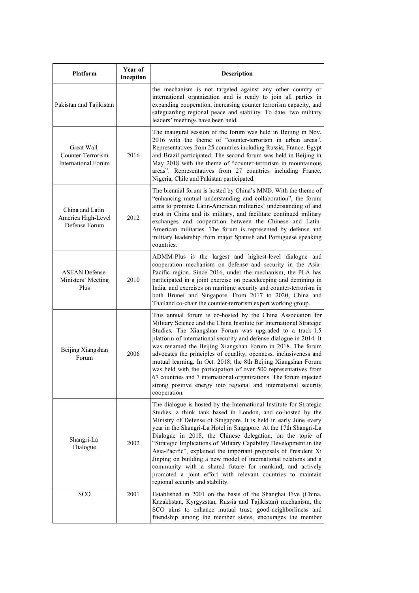| Platform                                                      | Year of<br>Inception | Description                                                                                                                                                                                                                                                                                                                                                                                                                                                                                                                                                                                                                                                                                                          |
|---------------------------------------------------------------|----------------------|----------------------------------------------------------------------------------------------------------------------------------------------------------------------------------------------------------------------------------------------------------------------------------------------------------------------------------------------------------------------------------------------------------------------------------------------------------------------------------------------------------------------------------------------------------------------------------------------------------------------------------------------------------------------------------------------------------------------|
| Pakistan and Tajikistan                                       |                      | the mechanism is not targeted against any other country or<br>international organization and is ready to join all parties in<br>expanding cooperation, increasing counter terrorism capacity, and<br>safeguarding regional peace and stability. To date, two military<br>leaders' meetings have been held.                                                                                                                                                                                                                                                                                                                                                                                                           |
| Great Wall<br>Counter-Terrorism<br><b>International Forum</b> | 2016                 | The inaugural session of the forum was held in Beijing in Nov.<br>2016 with the theme of "counter-terrorism in urban areas".<br>Representatives from 25 countries including Russia, France, Egypt<br>and Brazil participated. The second forum was held in Beijing in<br>May 2018 with the theme of "counter-terrorism in mountainous<br>areas". Representatives from 27 countries including France,<br>Nigeria, Chile and Pakistan participated.                                                                                                                                                                                                                                                                    |
| China and Latin<br>America High-Level<br>Defense Forum        | 2012                 | The biennial forum is hosted by China's MND. With the theme of<br>"enhancing mutual understanding and collaboration", the forum<br>aims to promote Latin-American militaries' understanding of and<br>trust in China and its military, and facilitate continued military<br>exchanges and cooperation between the Chinese and Latin-<br>American militaries. The forum is represented by defense and<br>military leadership from major Spanish and Portuguese speaking<br>countries.                                                                                                                                                                                                                                 |
| <b>ASEAN Defense</b><br>Ministers' Meeting<br>Plus            | 2010                 | ADMM-Plus is the largest and highest-level dialogue and<br>cooperation mechanism on defense and security in the Asia-<br>Pacific region. Since 2016, under the mechanism, the PLA has<br>participated in a joint exercise on peacekeeping and demining in<br>India, and exercises on maritime security and counter-terrorism in<br>both Brunei and Singapore. From 2017 to 2020, China and<br>Thailand co-chair the counter-terrorism expert working group.                                                                                                                                                                                                                                                          |
| Beijing Xiangshan<br>Forum                                    | 2006                 | This annual forum is co-hosted by the China Association for<br>Military Science and the China Institute for International Strategic<br>Studies. The Xiangshan Forum was upgraded to a track-1.5<br>platform of international security and defense dialogue in 2014. It<br>was renamed the Beijing Xiangshan Forum in 2018. The forum<br>advocates the principles of equality, openness, inclusiveness and<br>mutual learning. In Oct. 2018, the 8th Beijing Xiangshan Forum<br>was held with the participation of over 500 representatives from<br>67 countries and 7 international organizations. The forum injected<br>strong positive energy into regional and international security<br>cooperation.             |
| Shangri-La<br>Dialogue                                        | 2002                 | The dialogue is hosted by the International Institute for Strategic<br>Studies, a think tank based in London, and co-hosted by the<br>Ministry of Defense of Singapore. It is held in early June every<br>year in the Shangri-La Hotel in Singapore. At the 17th Shangri-La<br>Dialogue in 2018, the Chinese delegation, on the topic of<br>"Strategic Implications of Military Capability Development in the<br>Asia-Pacific", explained the important proposals of President Xi<br>Jinping on building a new model of international relations and a<br>community with a shared future for mankind, and actively<br>promoted a joint effort with relevant countries to maintain<br>regional security and stability. |
| SCO                                                           | 2001                 | Established in 2001 on the basis of the Shanghai Five (China,<br>Kazakhstan, Kyrgyzstan, Russia and Tajikistan) mechanism, the<br>SCO aims to enhance mutual trust, good-neighborliness and<br>friendship among the member states, encourages the member                                                                                                                                                                                                                                                                                                                                                                                                                                                             |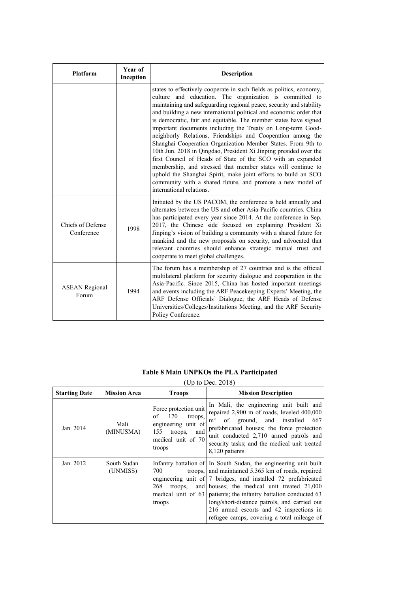| <b>Platform</b>                 | Year of<br>Inception | <b>Description</b>                                                                                                                                                                                                                                                                                                                                                                                                                                                                                                                                                                                                                                                                                                                                                                                                                                                                                             |
|---------------------------------|----------------------|----------------------------------------------------------------------------------------------------------------------------------------------------------------------------------------------------------------------------------------------------------------------------------------------------------------------------------------------------------------------------------------------------------------------------------------------------------------------------------------------------------------------------------------------------------------------------------------------------------------------------------------------------------------------------------------------------------------------------------------------------------------------------------------------------------------------------------------------------------------------------------------------------------------|
|                                 |                      | states to effectively cooperate in such fields as politics, economy,<br>culture and education. The organization is committed to<br>maintaining and safeguarding regional peace, security and stability<br>and building a new international political and economic order that<br>is democratic, fair and equitable. The member states have signed<br>important documents including the Treaty on Long-term Good-<br>neighborly Relations, Friendships and Cooperation among the<br>Shanghai Cooperation Organization Member States. From 9th to<br>10th Jun. 2018 in Qingdao, President Xi Jinping presided over the<br>first Council of Heads of State of the SCO with an expanded<br>membership, and stressed that member states will continue to<br>uphold the Shanghai Spirit, make joint efforts to build an SCO<br>community with a shared future, and promote a new model of<br>international relations. |
| Chiefs of Defense<br>Conference | 1998                 | Initiated by the US PACOM, the conference is held annually and<br>alternates between the US and other Asia-Pacific countries. China<br>has participated every year since 2014. At the conference in Sep.<br>2017, the Chinese side focused on explaining President Xi<br>Jinping's vision of building a community with a shared future for<br>mankind and the new proposals on security, and advocated that<br>relevant countries should enhance strategic mutual trust and<br>cooperate to meet global challenges.                                                                                                                                                                                                                                                                                                                                                                                            |
| <b>ASEAN Regional</b><br>Forum  | 1994                 | The forum has a membership of 27 countries and is the official<br>multilateral platform for security dialogue and cooperation in the<br>Asia-Pacific. Since 2015, China has hosted important meetings<br>and events including the ARF Peacekeeping Experts' Meeting, the<br>ARF Defense Officials' Dialogue, the ARF Heads of Defense<br>Universities/Colleges/Institutions Meeting, and the ARF Security<br>Policy Conference.                                                                                                                                                                                                                                                                                                                                                                                                                                                                                |

#### **Table 8 Main UNPKOs the PLA Participated**

(Up to Dec. 2018)

| <b>Starting Date</b> | <b>Mission Area</b>     | <b>Troops</b>                                                                                                                 | <b>Mission Description</b>                                                                                                                                                                                                                                                                                                                                                                                                                                   |
|----------------------|-------------------------|-------------------------------------------------------------------------------------------------------------------------------|--------------------------------------------------------------------------------------------------------------------------------------------------------------------------------------------------------------------------------------------------------------------------------------------------------------------------------------------------------------------------------------------------------------------------------------------------------------|
| Jan. 2014            | Mali<br>(MINUSMA)       | Force protection unit<br>170<br>οf<br>troops,<br>engineering unit of<br>155<br>troops,<br>and<br>medical unit of 70<br>troops | In Mali, the engineering unit built and<br>repaired 2,900 m of roads, leveled 400,000<br>of ground, and installed<br>667<br>m <sup>2</sup><br>prefabricated houses; the force protection<br>unit conducted 2,710 armed patrols and<br>security tasks; and the medical unit treated<br>8,120 patients.                                                                                                                                                        |
| Jan. 2012            | South Sudan<br>(UNMISS) | 700<br>268<br>troops,<br>medical unit of $63$<br>troops                                                                       | Infantry battalion of In South Sudan, the engineering unit built<br>troops, and maintained 5,365 km of roads, repaired<br>engineering unit of $\vert 7 \vert$ bridges, and installed $\vert 72 \vert$ prefabricated<br>and houses; the medical unit treated 21,000<br>patients; the infantry battalion conducted 63<br>long/short-distance patrols, and carried out<br>216 armed escorts and 42 inspections in<br>refugee camps, covering a total mileage of |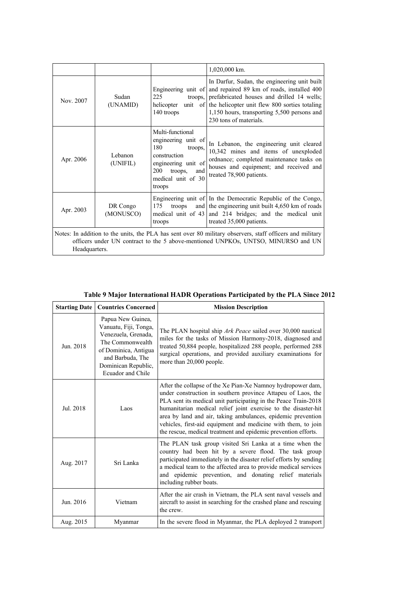|           |                                                                                                                                                                                                                 |                                                                                                                                                           | 1,020,000 km.                                                                                                                                                                                                                                                              |
|-----------|-----------------------------------------------------------------------------------------------------------------------------------------------------------------------------------------------------------------|-----------------------------------------------------------------------------------------------------------------------------------------------------------|----------------------------------------------------------------------------------------------------------------------------------------------------------------------------------------------------------------------------------------------------------------------------|
| Nov. 2007 | Sudan<br>(UNAMID)                                                                                                                                                                                               | Engineering unit of<br>225<br>troops,<br>helicopter<br>140 troops                                                                                         | In Darfur, Sudan, the engineering unit built<br>and repaired 89 km of roads, installed 400<br>prefabricated houses and drilled 14 wells;<br>unit of the helicopter unit flew 800 sorties totaling<br>1,150 hours, transporting 5,500 persons and<br>230 tons of materials. |
| Apr. 2006 | Lebanon<br>(UNIFIL)                                                                                                                                                                                             | Multi-functional<br>engineering unit of<br>180<br>troops,<br>construction<br>engineering unit of<br>200<br>troops,<br>and<br>medical unit of 30<br>troops | In Lebanon, the engineering unit cleared<br>10,342 mines and items of unexploded<br>ordnance; completed maintenance tasks on<br>houses and equipment; and received and<br>treated 78,900 patients.                                                                         |
| Apr. 2003 | DR Congo<br>(MONUSCO)                                                                                                                                                                                           | 175<br>troops<br>medical unit of 43<br>troops                                                                                                             | Engineering unit of In the Democratic Republic of the Congo,<br>and the engineering unit built $4,650$ km of roads<br>and 214 bridges; and the medical unit<br>treated 35,000 patients.                                                                                    |
|           | Notes: In addition to the units, the PLA has sent over 80 military observers, staff officers and military<br>officers under UN contract to the 5 above-mentioned UNPKOs, UNTSO, MINURSO and UN<br>Headquarters. |                                                                                                                                                           |                                                                                                                                                                                                                                                                            |

#### **Table 9 Major International HADR Operations Participated by the PLA Since 2012**

| <b>Starting Date</b> | <b>Countries Concerned</b>                                                                                                                                                    | <b>Mission Description</b>                                                                                                                                                                                                                                                                                                                                                                                                                                          |
|----------------------|-------------------------------------------------------------------------------------------------------------------------------------------------------------------------------|---------------------------------------------------------------------------------------------------------------------------------------------------------------------------------------------------------------------------------------------------------------------------------------------------------------------------------------------------------------------------------------------------------------------------------------------------------------------|
| Jun. 2018            | Papua New Guinea,<br>Vanuatu, Fiji, Tonga,<br>Venezuela, Grenada,<br>The Commonwealth<br>of Dominica, Antigua<br>and Barbuda, The<br>Dominican Republic,<br>Ecuador and Chile | The PLAN hospital ship Ark Peace sailed over 30,000 nautical<br>miles for the tasks of Mission Harmony-2018, diagnosed and<br>treated 50,884 people, hospitalized 288 people, performed 288<br>surgical operations, and provided auxiliary examinations for<br>more than 20,000 people.                                                                                                                                                                             |
| Jul. 2018            | Laos                                                                                                                                                                          | After the collapse of the Xe Pian-Xe Namnoy hydropower dam,<br>under construction in southern province Attapeu of Laos, the<br>PLA sent its medical unit participating in the Peace Train-2018<br>humanitarian medical relief joint exercise to the disaster-hit<br>area by land and air, taking ambulances, epidemic prevention<br>vehicles, first-aid equipment and medicine with them, to join<br>the rescue, medical treatment and epidemic prevention efforts. |
| Aug. 2017            | Sri Lanka                                                                                                                                                                     | The PLAN task group visited Sri Lanka at a time when the<br>country had been hit by a severe flood. The task group<br>participated immediately in the disaster relief efforts by sending<br>a medical team to the affected area to provide medical services<br>and epidemic prevention, and donating relief materials<br>including rubber boats.                                                                                                                    |
| Jun. 2016            | Vietnam                                                                                                                                                                       | After the air crash in Vietnam, the PLA sent naval vessels and<br>aircraft to assist in searching for the crashed plane and rescuing<br>the crew.                                                                                                                                                                                                                                                                                                                   |
| Aug. 2015            | Myanmar                                                                                                                                                                       | In the severe flood in Myanmar, the PLA deployed 2 transport                                                                                                                                                                                                                                                                                                                                                                                                        |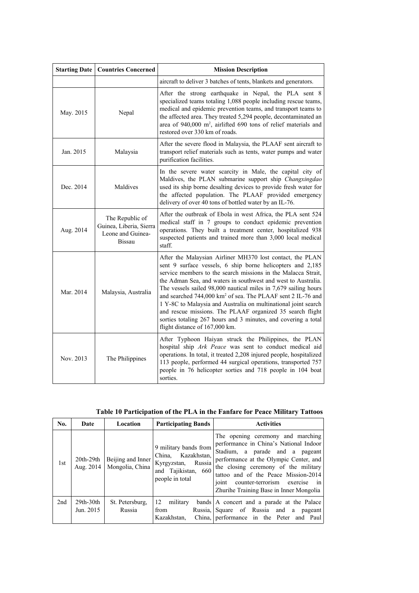| <b>Starting Date</b> | <b>Countries Concerned</b>                                                       | <b>Mission Description</b>                                                                                                                                                                                                                                                                                                                                                                                                                                                                                                                                                                                                                 |
|----------------------|----------------------------------------------------------------------------------|--------------------------------------------------------------------------------------------------------------------------------------------------------------------------------------------------------------------------------------------------------------------------------------------------------------------------------------------------------------------------------------------------------------------------------------------------------------------------------------------------------------------------------------------------------------------------------------------------------------------------------------------|
|                      |                                                                                  | aircraft to deliver 3 batches of tents, blankets and generators.                                                                                                                                                                                                                                                                                                                                                                                                                                                                                                                                                                           |
| May. 2015            | Nepal                                                                            | After the strong earthquake in Nepal, the PLA sent 8<br>specialized teams totaling 1,088 people including rescue teams,<br>medical and epidemic prevention teams, and transport teams to<br>the affected area. They treated 5,294 people, decontaminated an<br>area of 940,000 m <sup>2</sup> , airlifted 690 tons of relief materials and<br>restored over 330 km of roads.                                                                                                                                                                                                                                                               |
| Jan. 2015            | Malaysia                                                                         | After the severe flood in Malaysia, the PLAAF sent aircraft to<br>transport relief materials such as tents, water pumps and water<br>purification facilities.                                                                                                                                                                                                                                                                                                                                                                                                                                                                              |
| Dec. 2014            | Maldives                                                                         | In the severe water scarcity in Male, the capital city of<br>Maldives, the PLAN submarine support ship Changxingdao<br>used its ship borne desalting devices to provide fresh water for<br>the affected population. The PLAAF provided emergency<br>delivery of over 40 tons of bottled water by an IL-76.                                                                                                                                                                                                                                                                                                                                 |
| Aug. 2014            | The Republic of<br>Guinea, Liberia, Sierra<br>Leone and Guinea-<br><b>Bissau</b> | After the outbreak of Ebola in west Africa, the PLA sent 524<br>medical staff in 7 groups to conduct epidemic prevention<br>operations. They built a treatment center, hospitalized 938<br>suspected patients and trained more than 3,000 local medical<br>staff.                                                                                                                                                                                                                                                                                                                                                                          |
| Mar. 2014            | Malaysia, Australia                                                              | After the Malaysian Airliner MH370 lost contact, the PLAN<br>sent 9 surface vessels, 6 ship borne helicopters and 2,185<br>service members to the search missions in the Malacca Strait,<br>the Adman Sea, and waters in southwest and west to Australia.<br>The vessels sailed 98,000 nautical miles in 7,679 sailing hours<br>and searched 744,000 km <sup>2</sup> of sea. The PLAAF sent 2 IL-76 and<br>1 Y-8C to Malaysia and Australia on multinational joint search<br>and rescue missions. The PLAAF organized 35 search flight<br>sorties totaling 267 hours and 3 minutes, and covering a total<br>flight distance of 167,000 km. |
| Nov. 2013            | The Philippines                                                                  | After Typhoon Haiyan struck the Philippines, the PLAN<br>hospital ship Ark Peace was sent to conduct medical aid<br>operations. In total, it treated 2,208 injured people, hospitalized<br>113 people, performed 44 surgical operations, transported 757<br>people in 76 helicopter sorties and 718 people in 104 boat<br>sorties.                                                                                                                                                                                                                                                                                                         |

| No. | Date                     | Location                             | <b>Participating Bands</b>                                                                                     | <b>Activities</b>                                                                                                                                                                                                                                                                                                                    |
|-----|--------------------------|--------------------------------------|----------------------------------------------------------------------------------------------------------------|--------------------------------------------------------------------------------------------------------------------------------------------------------------------------------------------------------------------------------------------------------------------------------------------------------------------------------------|
| 1st | $20th-29th$<br>Aug. 2014 | Beijing and Inner<br>Mongolia, China | 9 military bands from<br>China. Kazakhstan.<br>Russia<br>Kyrgyzstan,<br>and Tajikistan, 660<br>people in total | The opening ceremony and marching<br>performance in China's National Indoor<br>Stadium, a parade and a pageant<br>performance at the Olympic Center, and<br>the closing ceremony of the military<br>tattoo and of the Peace Mission-2014<br>joint<br>$\sin$<br>counter-terrorism exercise<br>Zhurihe Training Base in Inner Mongolia |
| 2nd | $29th-30th$<br>Jun. 2015 | St. Petersburg.<br>Russia            | 12<br>military<br>from<br>Kazakhstan,                                                                          | bands A concert and a parade at the Palace<br>Russia, Square of Russia and a<br>pageant<br>China, performance in the Peter and Paul                                                                                                                                                                                                  |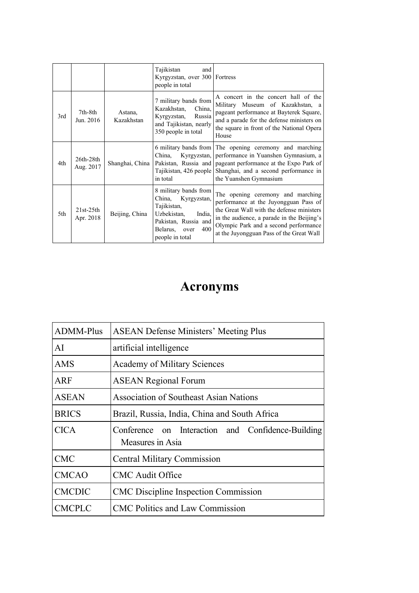|     |                          |                       | Tajikistan<br>and<br>Kyrgyzstan, over 300 Fortress<br>people in total                                                                                  |                                                                                                                                                                                                                                                            |
|-----|--------------------------|-----------------------|--------------------------------------------------------------------------------------------------------------------------------------------------------|------------------------------------------------------------------------------------------------------------------------------------------------------------------------------------------------------------------------------------------------------------|
| 3rd | 7th-8th<br>Jun. 2016     | Astana,<br>Kazakhstan | 7 military bands from<br>China,<br>Kazakhstan,<br>Kyrgyzstan,<br>Russia<br>and Tajikistan, nearly<br>350 people in total                               | A concert in the concert hall of the<br>Military Museum of Kazakhstan, a<br>pageant performance at Bayterek Square,<br>and a parade for the defense ministers on<br>the square in front of the National Opera<br>House                                     |
| 4th | $26th-28th$<br>Aug. 2017 | Shanghai, China       | China, Kyrgyzstan,<br>Tajikistan, 426 people<br>in total                                                                                               | 6 military bands from The opening ceremony and marching<br>performance in Yuanshen Gymnasium, a<br>Pakistan, Russia and pageant performance at the Expo Park of<br>Shanghai, and a second performance in<br>the Yuanshen Gymnasium                         |
| 5th | 21st-25th<br>Apr. 2018   | Beijing, China        | 8 military bands from<br>China, Kyrgyzstan,<br>Tajikistan,<br>Uzbekistan,<br>India,<br>Pakistan, Russia and<br>400<br>Belarus, over<br>people in total | The opening ceremony and marching<br>performance at the Juyongguan Pass of<br>the Great Wall with the defense ministers<br>in the audience, a parade in the Beijing's<br>Olympic Park and a second performance<br>at the Juyongguan Pass of the Great Wall |

## **Acronyms**

| <b>ADMM-Plus</b> | <b>ASEAN Defense Ministers' Meeting Plus</b>                          |  |  |
|------------------|-----------------------------------------------------------------------|--|--|
| AI               | artificial intelligence                                               |  |  |
| <b>AMS</b>       | <b>Academy of Military Sciences</b>                                   |  |  |
| ARF              | <b>ASEAN Regional Forum</b>                                           |  |  |
| <b>ASEAN</b>     | <b>Association of Southeast Asian Nations</b>                         |  |  |
| <b>BRICS</b>     | Brazil, Russia, India, China and South Africa                         |  |  |
| <b>CICA</b>      | Conference on Interaction and Confidence-Building<br>Measures in Asia |  |  |
| <b>CMC</b>       | <b>Central Military Commission</b>                                    |  |  |
| <b>CMCAO</b>     | <b>CMC</b> Audit Office                                               |  |  |
| <b>CMCDIC</b>    | <b>CMC</b> Discipline Inspection Commission                           |  |  |
| <b>CMCPLC</b>    | <b>CMC</b> Politics and Law Commission                                |  |  |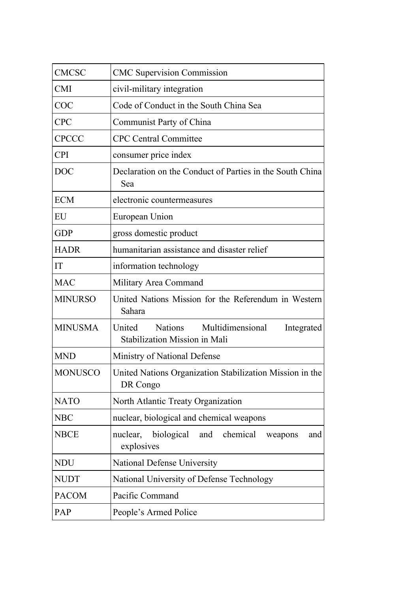| <b>CMCSC</b>   | <b>CMC Supervision Commission</b>                                                 |  |  |
|----------------|-----------------------------------------------------------------------------------|--|--|
| <b>CMI</b>     | civil-military integration                                                        |  |  |
| COC            | Code of Conduct in the South China Sea                                            |  |  |
| <b>CPC</b>     | Communist Party of China                                                          |  |  |
| <b>CPCCC</b>   | <b>CPC Central Committee</b>                                                      |  |  |
| <b>CPI</b>     | consumer price index                                                              |  |  |
| <b>DOC</b>     | Declaration on the Conduct of Parties in the South China<br>Sea                   |  |  |
| <b>ECM</b>     | electronic countermeasures                                                        |  |  |
| EU             | European Union                                                                    |  |  |
| <b>GDP</b>     | gross domestic product                                                            |  |  |
| <b>HADR</b>    | humanitarian assistance and disaster relief                                       |  |  |
| IT             | information technology                                                            |  |  |
| <b>MAC</b>     | Military Area Command                                                             |  |  |
| <b>MINURSO</b> | United Nations Mission for the Referendum in Western<br>Sahara                    |  |  |
| <b>MINUSMA</b> | Nations Multidimensional<br>United<br>Integrated<br>Stabilization Mission in Mali |  |  |
| <b>MND</b>     | Ministry of National Defense                                                      |  |  |
| <b>MONUSCO</b> | United Nations Organization Stabilization Mission in the<br>DR Congo              |  |  |
| <b>NATO</b>    | North Atlantic Treaty Organization                                                |  |  |
| <b>NBC</b>     | nuclear, biological and chemical weapons                                          |  |  |
| <b>NBCE</b>    | nuclear, biological<br>chemical<br>and<br>and<br>weapons<br>explosives            |  |  |
| <b>NDU</b>     | National Defense University                                                       |  |  |
| <b>NUDT</b>    | National University of Defense Technology                                         |  |  |
| <b>PACOM</b>   | Pacific Command                                                                   |  |  |
| PAP            | People's Armed Police                                                             |  |  |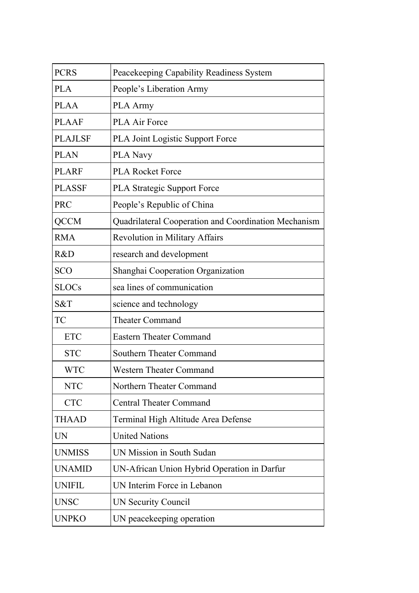| <b>PCRS</b>    | Peacekeeping Capability Readiness System             |
|----------------|------------------------------------------------------|
| <b>PLA</b>     | People's Liberation Army                             |
| <b>PLAA</b>    | <b>PLA Army</b>                                      |
| <b>PLAAF</b>   | <b>PLA Air Force</b>                                 |
| <b>PLAJLSF</b> | <b>PLA Joint Logistic Support Force</b>              |
| <b>PLAN</b>    | <b>PLA Navy</b>                                      |
| <b>PLARF</b>   | <b>PLA Rocket Force</b>                              |
| <b>PLASSF</b>  | <b>PLA Strategic Support Force</b>                   |
| <b>PRC</b>     | People's Republic of China                           |
| <b>QCCM</b>    | Quadrilateral Cooperation and Coordination Mechanism |
| <b>RMA</b>     | <b>Revolution in Military Affairs</b>                |
| R&D            | research and development                             |
| <b>SCO</b>     | Shanghai Cooperation Organization                    |
| <b>SLOCs</b>   | sea lines of communication                           |
| S&T            | science and technology                               |
| <b>TC</b>      | <b>Theater Command</b>                               |
| <b>ETC</b>     | <b>Eastern Theater Command</b>                       |
| <b>STC</b>     | <b>Southern Theater Command</b>                      |
| <b>WTC</b>     | <b>Western Theater Command</b>                       |
| <b>NTC</b>     | Northern Theater Command                             |
| <b>CTC</b>     | <b>Central Theater Command</b>                       |
| <b>THAAD</b>   | Terminal High Altitude Area Defense                  |
| UN             | <b>United Nations</b>                                |
| <b>UNMISS</b>  | UN Mission in South Sudan                            |
| <b>UNAMID</b>  | UN-African Union Hybrid Operation in Darfur          |
| <b>UNIFIL</b>  | UN Interim Force in Lebanon                          |
| <b>UNSC</b>    | <b>UN Security Council</b>                           |
| <b>UNPKO</b>   | UN peacekeeping operation                            |